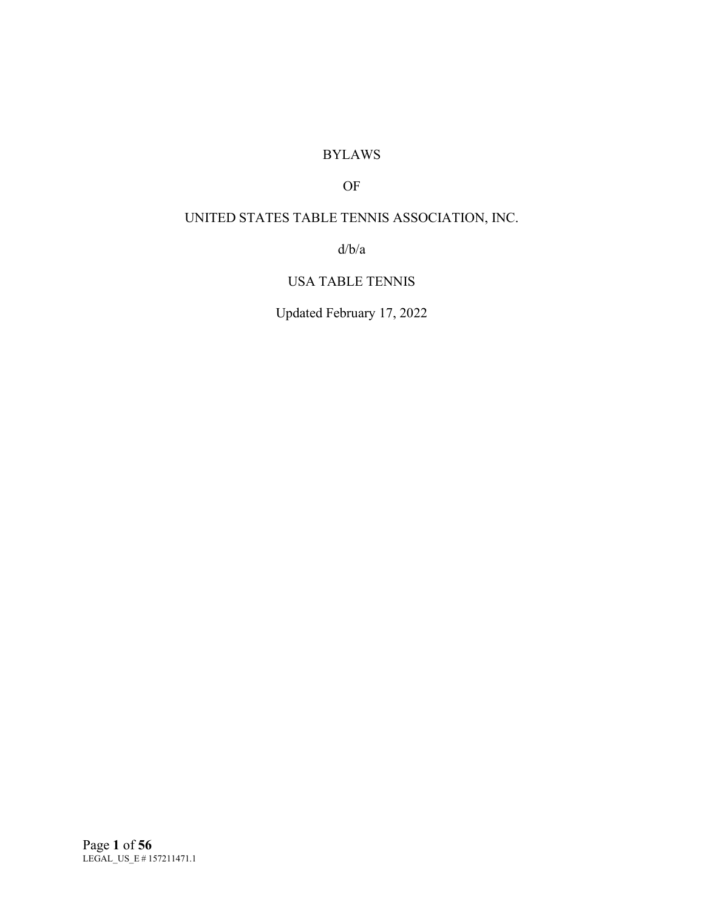# BYLAWS

# OF

# UNITED STATES TABLE TENNIS ASSOCIATION, INC.

d/b/a

# USA TABLE TENNIS

Updated February 17, 2022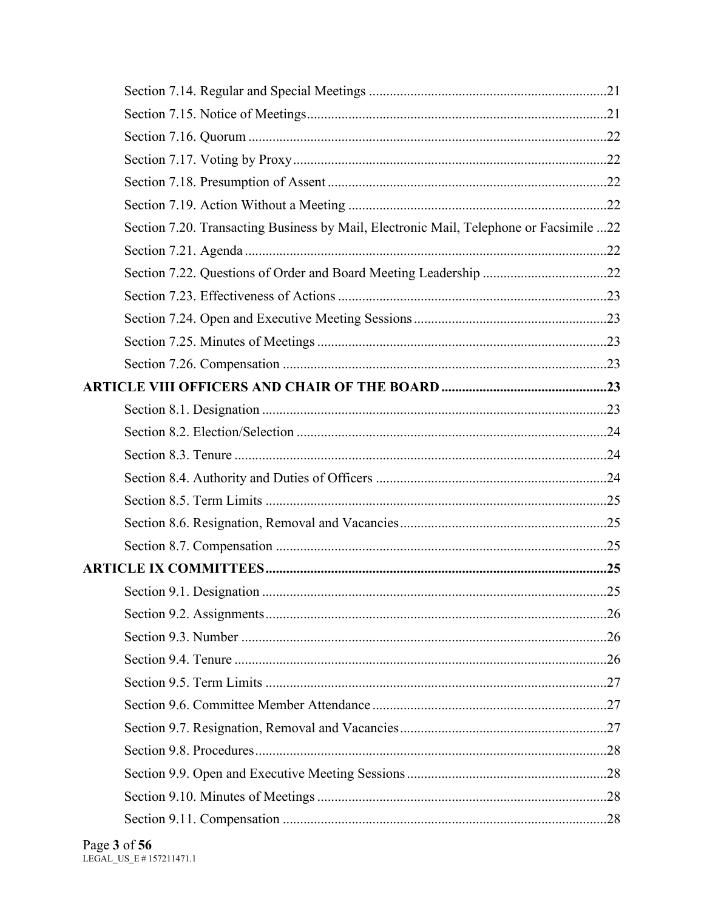| Section 7.20. Transacting Business by Mail, Electronic Mail, Telephone or Facsimile 22 |  |
|----------------------------------------------------------------------------------------|--|
|                                                                                        |  |
|                                                                                        |  |
|                                                                                        |  |
|                                                                                        |  |
|                                                                                        |  |
|                                                                                        |  |
|                                                                                        |  |
|                                                                                        |  |
|                                                                                        |  |
|                                                                                        |  |
|                                                                                        |  |
|                                                                                        |  |
|                                                                                        |  |
|                                                                                        |  |
|                                                                                        |  |
|                                                                                        |  |
|                                                                                        |  |
|                                                                                        |  |
|                                                                                        |  |
|                                                                                        |  |
|                                                                                        |  |
|                                                                                        |  |
|                                                                                        |  |
|                                                                                        |  |
|                                                                                        |  |
|                                                                                        |  |
|                                                                                        |  |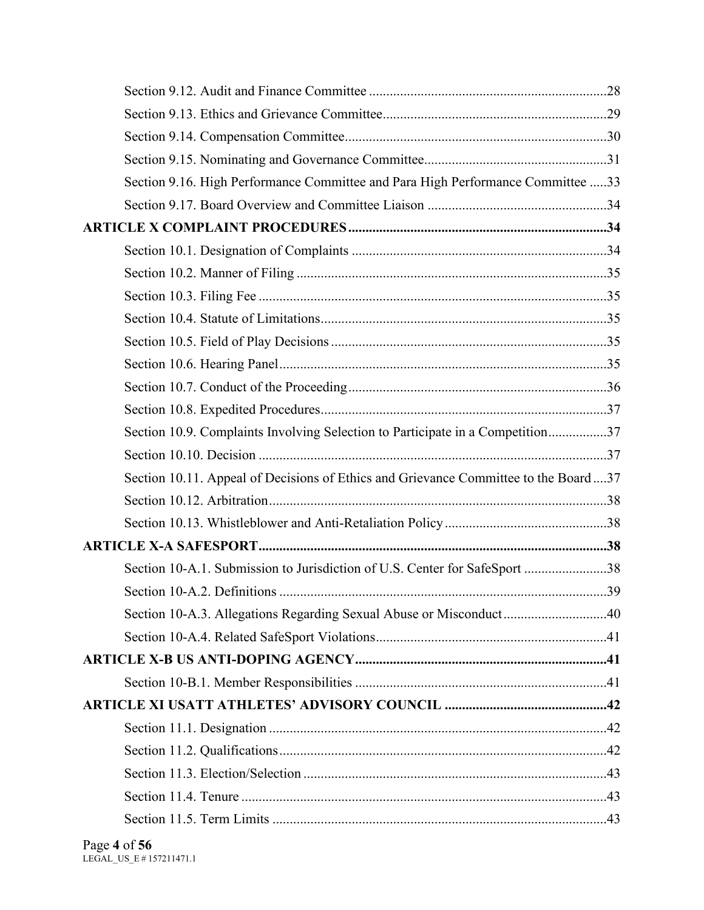| Section 9.16. High Performance Committee and Para High Performance Committee 33     |  |
|-------------------------------------------------------------------------------------|--|
|                                                                                     |  |
|                                                                                     |  |
|                                                                                     |  |
|                                                                                     |  |
|                                                                                     |  |
|                                                                                     |  |
|                                                                                     |  |
|                                                                                     |  |
|                                                                                     |  |
|                                                                                     |  |
| Section 10.9. Complaints Involving Selection to Participate in a Competition37      |  |
|                                                                                     |  |
| Section 10.11. Appeal of Decisions of Ethics and Grievance Committee to the Board37 |  |
|                                                                                     |  |
|                                                                                     |  |
|                                                                                     |  |
| Section 10-A.1. Submission to Jurisdiction of U.S. Center for SafeSport 38          |  |
|                                                                                     |  |
| Section 10-A.3. Allegations Regarding Sexual Abuse or Misconduct40                  |  |
|                                                                                     |  |
|                                                                                     |  |
|                                                                                     |  |
|                                                                                     |  |
|                                                                                     |  |
|                                                                                     |  |
|                                                                                     |  |
|                                                                                     |  |
|                                                                                     |  |
|                                                                                     |  |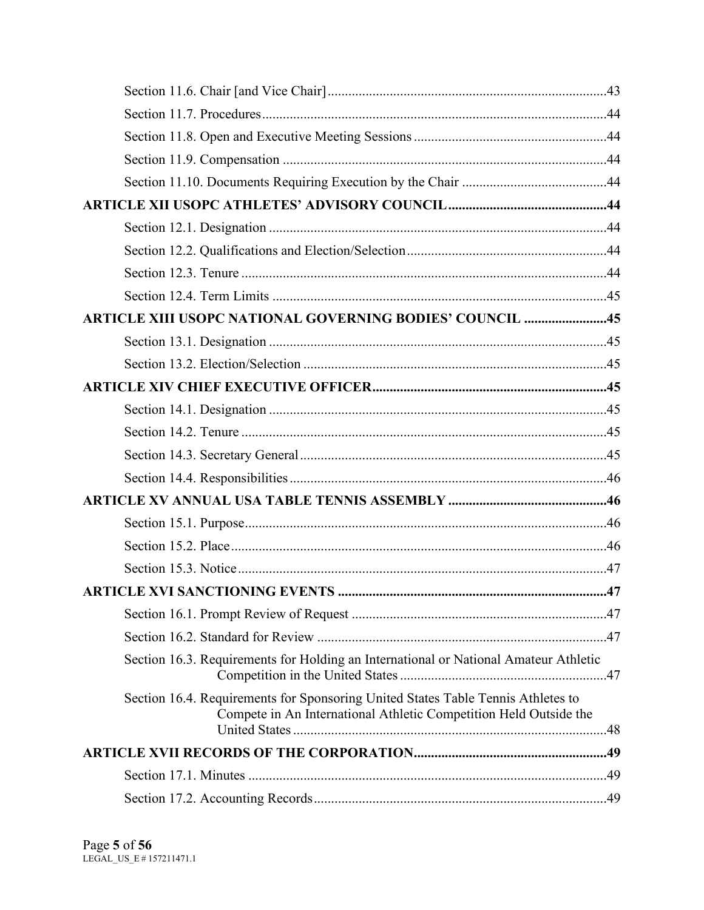| <b>ARTICLE XIII USOPC NATIONAL GOVERNING BODIES' COUNCIL 45</b>                                                                                       |    |
|-------------------------------------------------------------------------------------------------------------------------------------------------------|----|
|                                                                                                                                                       |    |
|                                                                                                                                                       |    |
|                                                                                                                                                       |    |
|                                                                                                                                                       |    |
|                                                                                                                                                       |    |
|                                                                                                                                                       |    |
|                                                                                                                                                       |    |
|                                                                                                                                                       |    |
|                                                                                                                                                       |    |
|                                                                                                                                                       |    |
|                                                                                                                                                       |    |
|                                                                                                                                                       | 47 |
|                                                                                                                                                       |    |
|                                                                                                                                                       |    |
| Section 16.3. Requirements for Holding an International or National Amateur Athletic                                                                  |    |
| Section 16.4. Requirements for Sponsoring United States Table Tennis Athletes to<br>Compete in An International Athletic Competition Held Outside the |    |
|                                                                                                                                                       |    |
|                                                                                                                                                       |    |
|                                                                                                                                                       |    |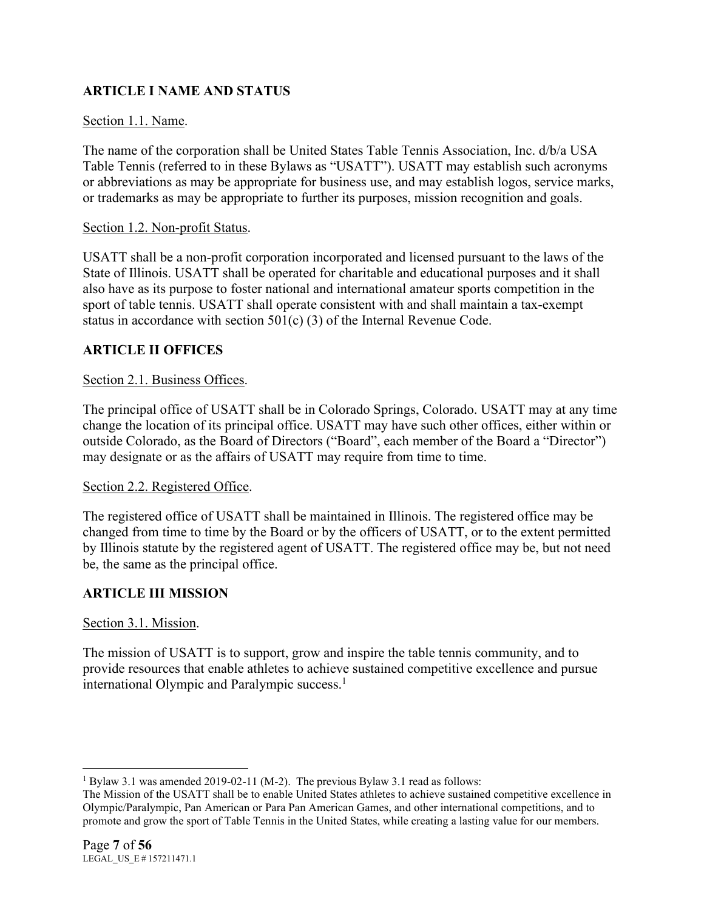# **ARTICLE I NAME AND STATUS**

### Section 1.1. Name.

The name of the corporation shall be United States Table Tennis Association, Inc. d/b/a USA Table Tennis (referred to in these Bylaws as "USATT"). USATT may establish such acronyms or abbreviations as may be appropriate for business use, and may establish logos, service marks, or trademarks as may be appropriate to further its purposes, mission recognition and goals.

#### Section 1.2. Non-profit Status.

USATT shall be a non-profit corporation incorporated and licensed pursuant to the laws of the State of Illinois. USATT shall be operated for charitable and educational purposes and it shall also have as its purpose to foster national and international amateur sports competition in the sport of table tennis. USATT shall operate consistent with and shall maintain a tax-exempt status in accordance with section 501(c) (3) of the Internal Revenue Code.

# **ARTICLE II OFFICES**

### Section 2.1. Business Offices.

The principal office of USATT shall be in Colorado Springs, Colorado. USATT may at any time change the location of its principal office. USATT may have such other offices, either within or outside Colorado, as the Board of Directors ("Board", each member of the Board a "Director") may designate or as the affairs of USATT may require from time to time.

#### Section 2.2. Registered Office.

The registered office of USATT shall be maintained in Illinois. The registered office may be changed from time to time by the Board or by the officers of USATT, or to the extent permitted by Illinois statute by the registered agent of USATT. The registered office may be, but not need be, the same as the principal office.

# **ARTICLE III MISSION**

# Section 3.1. Mission.

The mission of USATT is to support, grow and inspire the table tennis community, and to provide resources that enable athletes to achieve sustained competitive excellence and pursue international Olympic and Paralympic success.<sup>1</sup>

<sup>&</sup>lt;sup>1</sup> Bylaw 3.1 was amended 2019-02-11 (M-2). The previous Bylaw 3.1 read as follows:

The Mission of the USATT shall be to enable United States athletes to achieve sustained competitive excellence in Olympic/Paralympic, Pan American or Para Pan American Games, and other international competitions, and to promote and grow the sport of Table Tennis in the United States, while creating a lasting value for our members.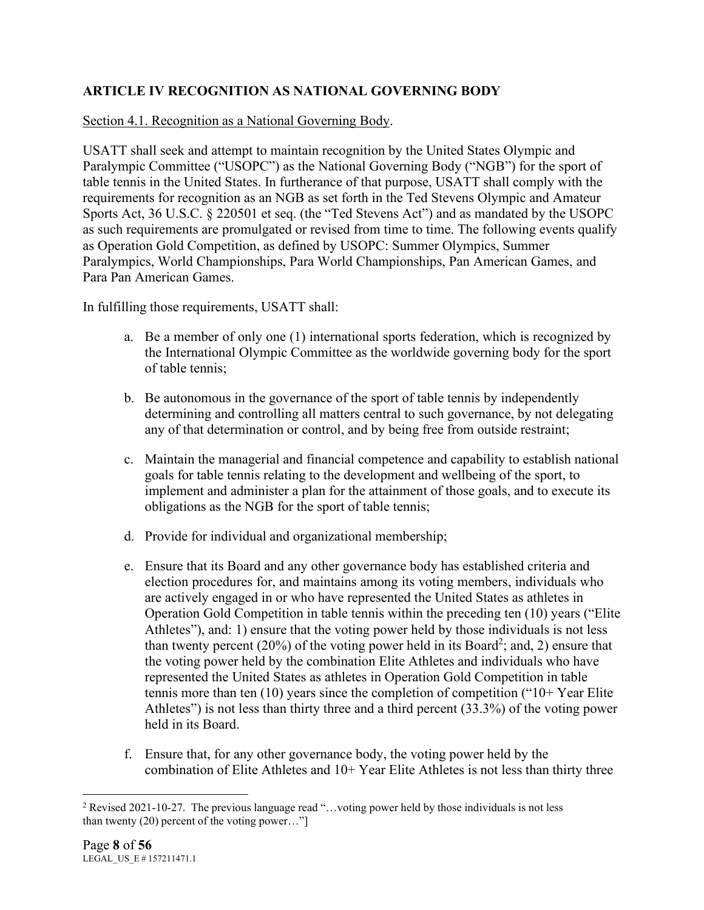# **ARTICLE IV RECOGNITION AS NATIONAL GOVERNING BODY**

### Section 4.1. Recognition as a National Governing Body.

USATT shall seek and attempt to maintain recognition by the United States Olympic and Paralympic Committee ("USOPC") as the National Governing Body ("NGB") for the sport of table tennis in the United States. In furtherance of that purpose, USATT shall comply with the requirements for recognition as an NGB as set forth in the Ted Stevens Olympic and Amateur Sports Act, 36 U.S.C. § 220501 et seq. (the "Ted Stevens Act") and as mandated by the USOPC as such requirements are promulgated or revised from time to time. The following events qualify as Operation Gold Competition, as defined by USOPC: Summer Olympics, Summer Paralympics, World Championships, Para World Championships, Pan American Games, and Para Pan American Games.

In fulfilling those requirements, USATT shall:

- a. Be a member of only one (1) international sports federation, which is recognized by the International Olympic Committee as the worldwide governing body for the sport of table tennis;
- b. Be autonomous in the governance of the sport of table tennis by independently determining and controlling all matters central to such governance, by not delegating any of that determination or control, and by being free from outside restraint;
- c. Maintain the managerial and financial competence and capability to establish national goals for table tennis relating to the development and wellbeing of the sport, to implement and administer a plan for the attainment of those goals, and to execute its obligations as the NGB for the sport of table tennis;
- d. Provide for individual and organizational membership;
- e. Ensure that its Board and any other governance body has established criteria and election procedures for, and maintains among its voting members, individuals who are actively engaged in or who have represented the United States as athletes in Operation Gold Competition in table tennis within the preceding ten (10) years ("Elite Athletes"), and: 1) ensure that the voting power held by those individuals is not less than twenty percent (20%) of the voting power held in its Board<sup>2</sup>; and, 2) ensure that the voting power held by the combination Elite Athletes and individuals who have represented the United States as athletes in Operation Gold Competition in table tennis more than ten (10) years since the completion of competition ("10+ Year Elite Athletes") is not less than thirty three and a third percent (33.3%) of the voting power held in its Board.
- f. Ensure that, for any other governance body, the voting power held by the combination of Elite Athletes and 10+ Year Elite Athletes is not less than thirty three

<sup>&</sup>lt;sup>2</sup> Revised 2021-10-27. The previous language read "...voting power held by those individuals is not less than twenty (20) percent of the voting power…"]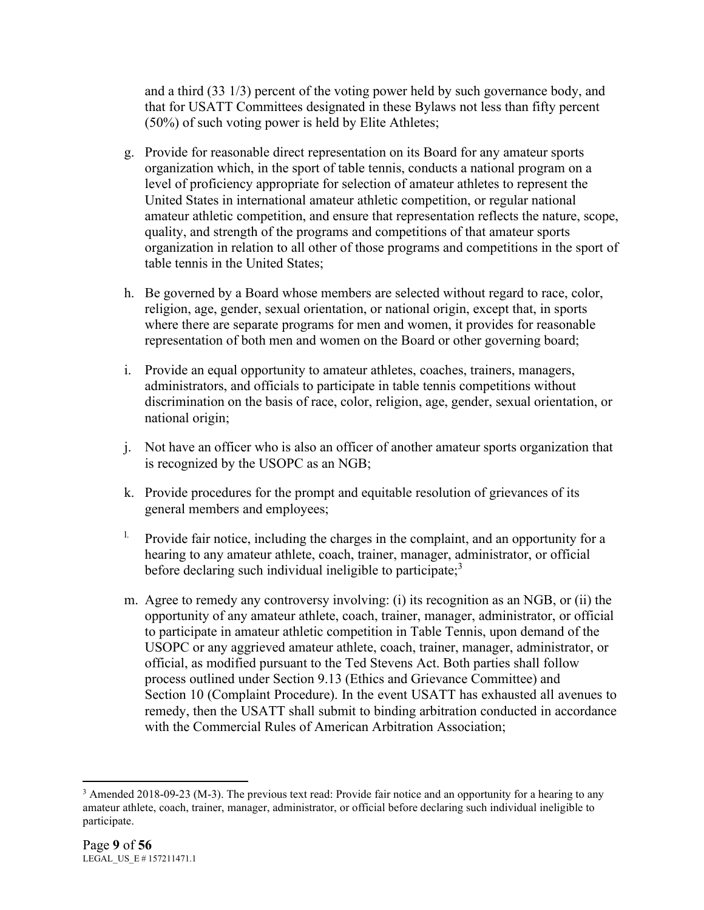and a third (33 1/3) percent of the voting power held by such governance body, and that for USATT Committees designated in these Bylaws not less than fifty percent (50%) of such voting power is held by Elite Athletes;

- g. Provide for reasonable direct representation on its Board for any amateur sports organization which, in the sport of table tennis, conducts a national program on a level of proficiency appropriate for selection of amateur athletes to represent the United States in international amateur athletic competition, or regular national amateur athletic competition, and ensure that representation reflects the nature, scope, quality, and strength of the programs and competitions of that amateur sports organization in relation to all other of those programs and competitions in the sport of table tennis in the United States;
- h. Be governed by a Board whose members are selected without regard to race, color, religion, age, gender, sexual orientation, or national origin, except that, in sports where there are separate programs for men and women, it provides for reasonable representation of both men and women on the Board or other governing board;
- i. Provide an equal opportunity to amateur athletes, coaches, trainers, managers, administrators, and officials to participate in table tennis competitions without discrimination on the basis of race, color, religion, age, gender, sexual orientation, or national origin;
- j. Not have an officer who is also an officer of another amateur sports organization that is recognized by the USOPC as an NGB;
- k. Provide procedures for the prompt and equitable resolution of grievances of its general members and employees;
- <sup>1.</sup> Provide fair notice, including the charges in the complaint, and an opportunity for a hearing to any amateur athlete, coach, trainer, manager, administrator, or official before declaring such individual ineligible to participate;<sup>3</sup>
- m. Agree to remedy any controversy involving: (i) its recognition as an NGB, or (ii) the opportunity of any amateur athlete, coach, trainer, manager, administrator, or official to participate in amateur athletic competition in Table Tennis, upon demand of the USOPC or any aggrieved amateur athlete, coach, trainer, manager, administrator, or official, as modified pursuant to the Ted Stevens Act. Both parties shall follow process outlined under Section 9.13 (Ethics and Grievance Committee) and Section 10 (Complaint Procedure). In the event USATT has exhausted all avenues to remedy, then the USATT shall submit to binding arbitration conducted in accordance with the Commercial Rules of American Arbitration Association;

<sup>&</sup>lt;sup>3</sup> Amended 2018-09-23 (M-3). The previous text read: Provide fair notice and an opportunity for a hearing to any amateur athlete, coach, trainer, manager, administrator, or official before declaring such individual ineligible to participate.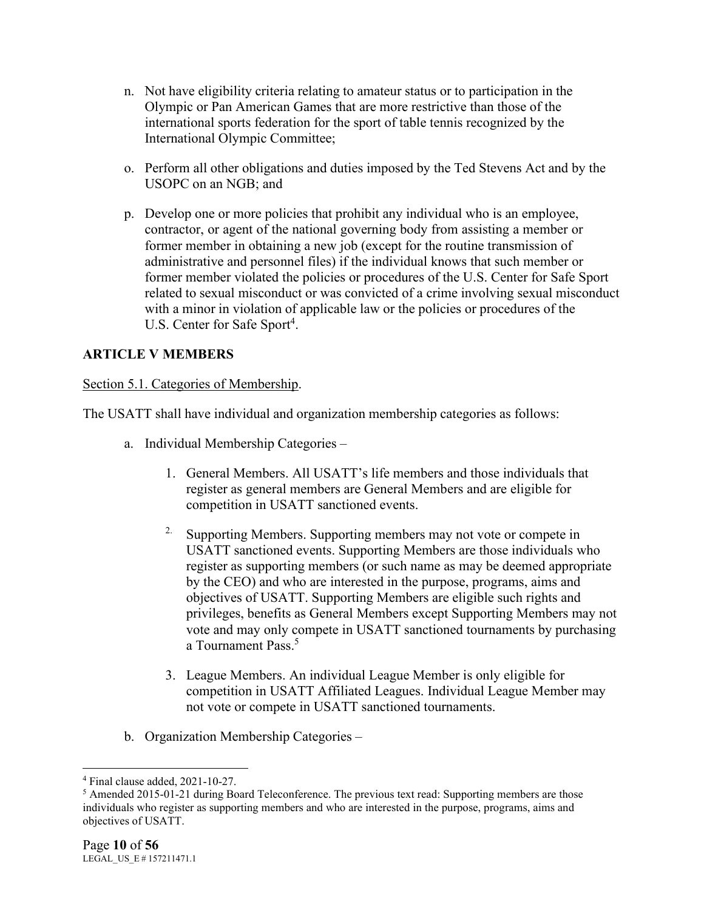- n. Not have eligibility criteria relating to amateur status or to participation in the Olympic or Pan American Games that are more restrictive than those of the international sports federation for the sport of table tennis recognized by the International Olympic Committee;
- o. Perform all other obligations and duties imposed by the Ted Stevens Act and by the USOPC on an NGB; and
- p. Develop one or more policies that prohibit any individual who is an employee, contractor, or agent of the national governing body from assisting a member or former member in obtaining a new job (except for the routine transmission of administrative and personnel files) if the individual knows that such member or former member violated the policies or procedures of the U.S. Center for Safe Sport related to sexual misconduct or was convicted of a crime involving sexual misconduct with a minor in violation of applicable law or the policies or procedures of the U.S. Center for Safe Sport<sup>4</sup>.

# **ARTICLE V MEMBERS**

# Section 5.1. Categories of Membership.

The USATT shall have individual and organization membership categories as follows:

- a. Individual Membership Categories
	- 1. General Members. All USATT's life members and those individuals that register as general members are General Members and are eligible for competition in USATT sanctioned events.
	- <sup>2.</sup> Supporting Members. Supporting members may not vote or compete in USATT sanctioned events. Supporting Members are those individuals who register as supporting members (or such name as may be deemed appropriate by the CEO) and who are interested in the purpose, programs, aims and objectives of USATT. Supporting Members are eligible such rights and privileges, benefits as General Members except Supporting Members may not vote and may only compete in USATT sanctioned tournaments by purchasing a Tournament Pass.<sup>5</sup>
	- 3. League Members. An individual League Member is only eligible for competition in USATT Affiliated Leagues. Individual League Member may not vote or compete in USATT sanctioned tournaments.
- b. Organization Membership Categories –

<sup>4</sup> Final clause added, 2021-10-27.

<sup>5</sup> Amended 2015-01-21 during Board Teleconference. The previous text read: Supporting members are those individuals who register as supporting members and who are interested in the purpose, programs, aims and objectives of USATT.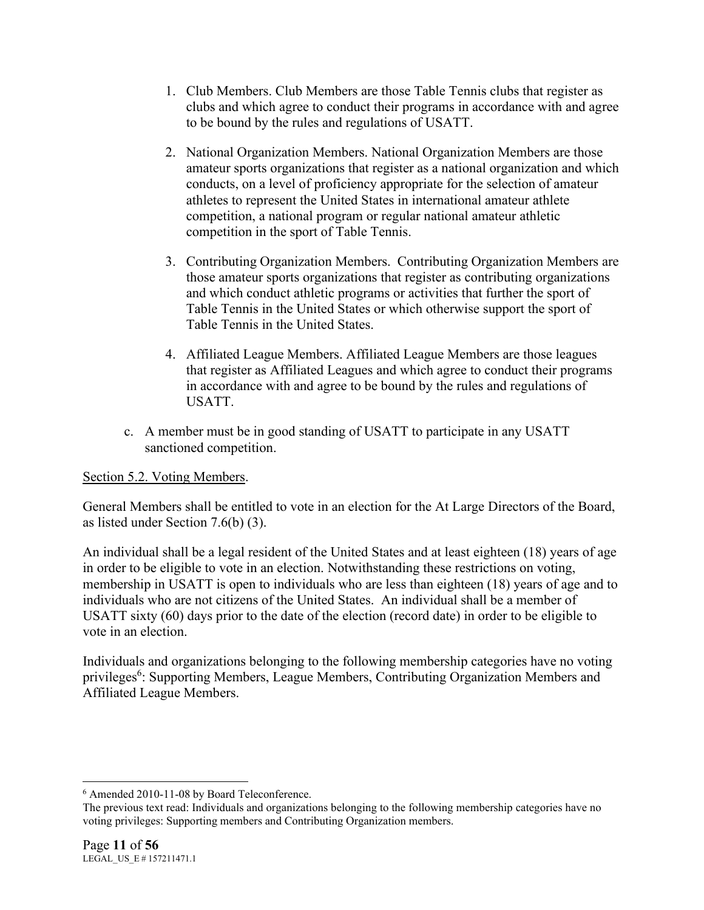- 1. Club Members. Club Members are those Table Tennis clubs that register as clubs and which agree to conduct their programs in accordance with and agree to be bound by the rules and regulations of USATT.
- 2. National Organization Members. National Organization Members are those amateur sports organizations that register as a national organization and which conducts, on a level of proficiency appropriate for the selection of amateur athletes to represent the United States in international amateur athlete competition, a national program or regular national amateur athletic competition in the sport of Table Tennis.
- 3. Contributing Organization Members. Contributing Organization Members are those amateur sports organizations that register as contributing organizations and which conduct athletic programs or activities that further the sport of Table Tennis in the United States or which otherwise support the sport of Table Tennis in the United States.
- 4. Affiliated League Members. Affiliated League Members are those leagues that register as Affiliated Leagues and which agree to conduct their programs in accordance with and agree to be bound by the rules and regulations of USATT.
- c. A member must be in good standing of USATT to participate in any USATT sanctioned competition.

Section 5.2. Voting Members.

General Members shall be entitled to vote in an election for the At Large Directors of the Board, as listed under Section 7.6(b) (3).

An individual shall be a legal resident of the United States and at least eighteen (18) years of age in order to be eligible to vote in an election. Notwithstanding these restrictions on voting, membership in USATT is open to individuals who are less than eighteen (18) years of age and to individuals who are not citizens of the United States. An individual shall be a member of USATT sixty (60) days prior to the date of the election (record date) in order to be eligible to vote in an election.

Individuals and organizations belonging to the following membership categories have no voting privileges<sup>6</sup>: Supporting Members, League Members, Contributing Organization Members and Affiliated League Members.

<sup>6</sup> Amended 2010-11-08 by Board Teleconference.

The previous text read: Individuals and organizations belonging to the following membership categories have no voting privileges: Supporting members and Contributing Organization members.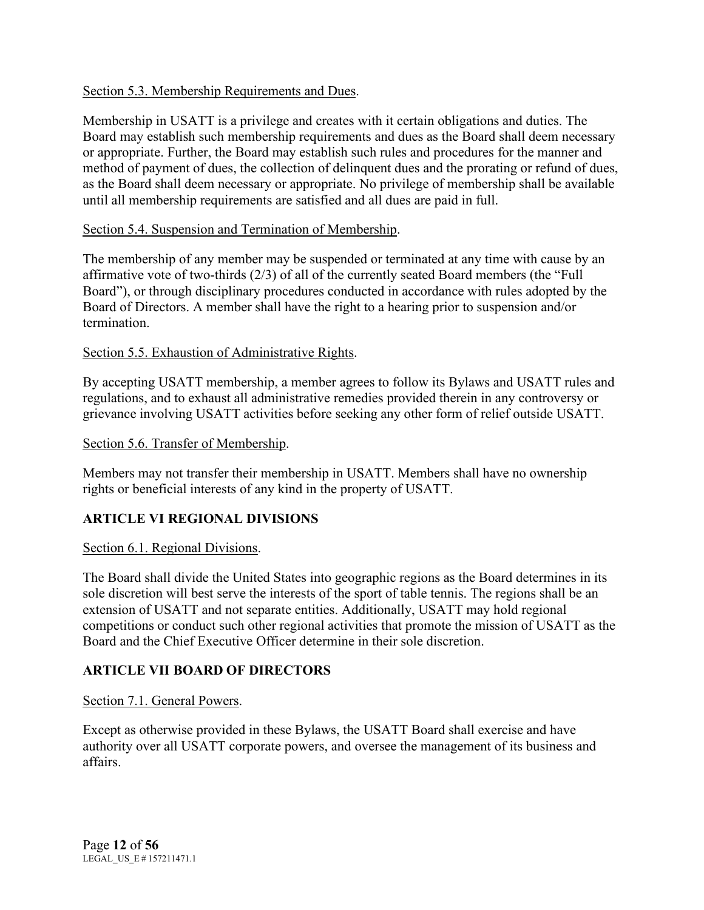# Section 5.3. Membership Requirements and Dues.

Membership in USATT is a privilege and creates with it certain obligations and duties. The Board may establish such membership requirements and dues as the Board shall deem necessary or appropriate. Further, the Board may establish such rules and procedures for the manner and method of payment of dues, the collection of delinquent dues and the prorating or refund of dues, as the Board shall deem necessary or appropriate. No privilege of membership shall be available until all membership requirements are satisfied and all dues are paid in full.

# Section 5.4. Suspension and Termination of Membership.

The membership of any member may be suspended or terminated at any time with cause by an affirmative vote of two-thirds (2/3) of all of the currently seated Board members (the "Full Board"), or through disciplinary procedures conducted in accordance with rules adopted by the Board of Directors. A member shall have the right to a hearing prior to suspension and/or termination.

# Section 5.5. Exhaustion of Administrative Rights.

By accepting USATT membership, a member agrees to follow its Bylaws and USATT rules and regulations, and to exhaust all administrative remedies provided therein in any controversy or grievance involving USATT activities before seeking any other form of relief outside USATT.

# Section 5.6. Transfer of Membership.

Members may not transfer their membership in USATT. Members shall have no ownership rights or beneficial interests of any kind in the property of USATT.

# **ARTICLE VI REGIONAL DIVISIONS**

# Section 6.1. Regional Divisions.

The Board shall divide the United States into geographic regions as the Board determines in its sole discretion will best serve the interests of the sport of table tennis. The regions shall be an extension of USATT and not separate entities. Additionally, USATT may hold regional competitions or conduct such other regional activities that promote the mission of USATT as the Board and the Chief Executive Officer determine in their sole discretion.

# **ARTICLE VII BOARD OF DIRECTORS**

# Section 7.1. General Powers.

Except as otherwise provided in these Bylaws, the USATT Board shall exercise and have authority over all USATT corporate powers, and oversee the management of its business and affairs.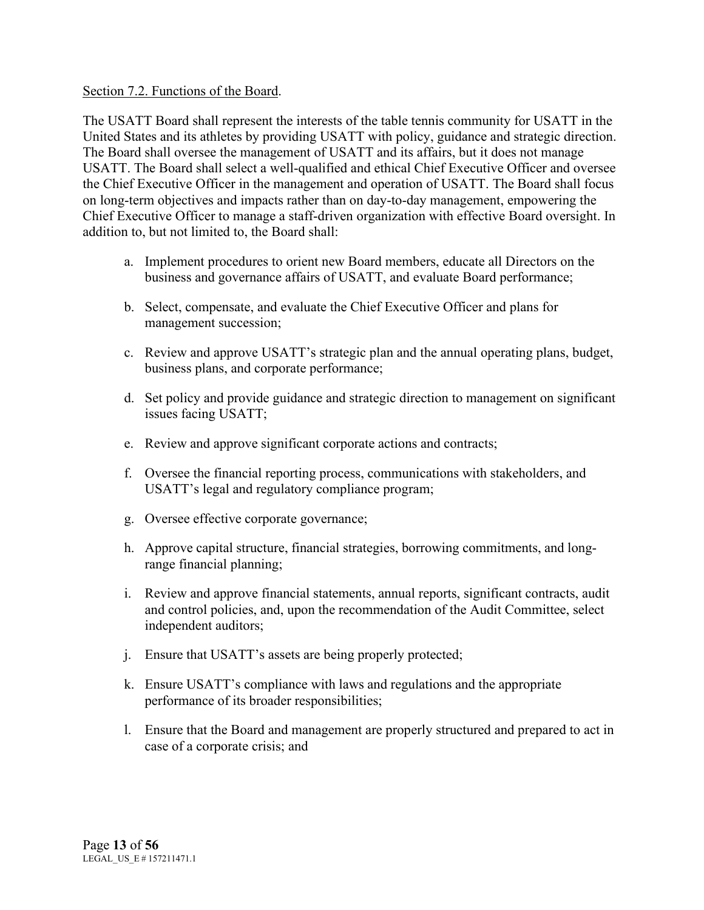#### Section 7.2. Functions of the Board.

The USATT Board shall represent the interests of the table tennis community for USATT in the United States and its athletes by providing USATT with policy, guidance and strategic direction. The Board shall oversee the management of USATT and its affairs, but it does not manage USATT. The Board shall select a well-qualified and ethical Chief Executive Officer and oversee the Chief Executive Officer in the management and operation of USATT. The Board shall focus on long-term objectives and impacts rather than on day-to-day management, empowering the Chief Executive Officer to manage a staff-driven organization with effective Board oversight. In addition to, but not limited to, the Board shall:

- a. Implement procedures to orient new Board members, educate all Directors on the business and governance affairs of USATT, and evaluate Board performance;
- b. Select, compensate, and evaluate the Chief Executive Officer and plans for management succession;
- c. Review and approve USATT's strategic plan and the annual operating plans, budget, business plans, and corporate performance;
- d. Set policy and provide guidance and strategic direction to management on significant issues facing USATT;
- e. Review and approve significant corporate actions and contracts;
- f. Oversee the financial reporting process, communications with stakeholders, and USATT's legal and regulatory compliance program;
- g. Oversee effective corporate governance;
- h. Approve capital structure, financial strategies, borrowing commitments, and longrange financial planning;
- i. Review and approve financial statements, annual reports, significant contracts, audit and control policies, and, upon the recommendation of the Audit Committee, select independent auditors;
- j. Ensure that USATT's assets are being properly protected;
- k. Ensure USATT's compliance with laws and regulations and the appropriate performance of its broader responsibilities;
- l. Ensure that the Board and management are properly structured and prepared to act in case of a corporate crisis; and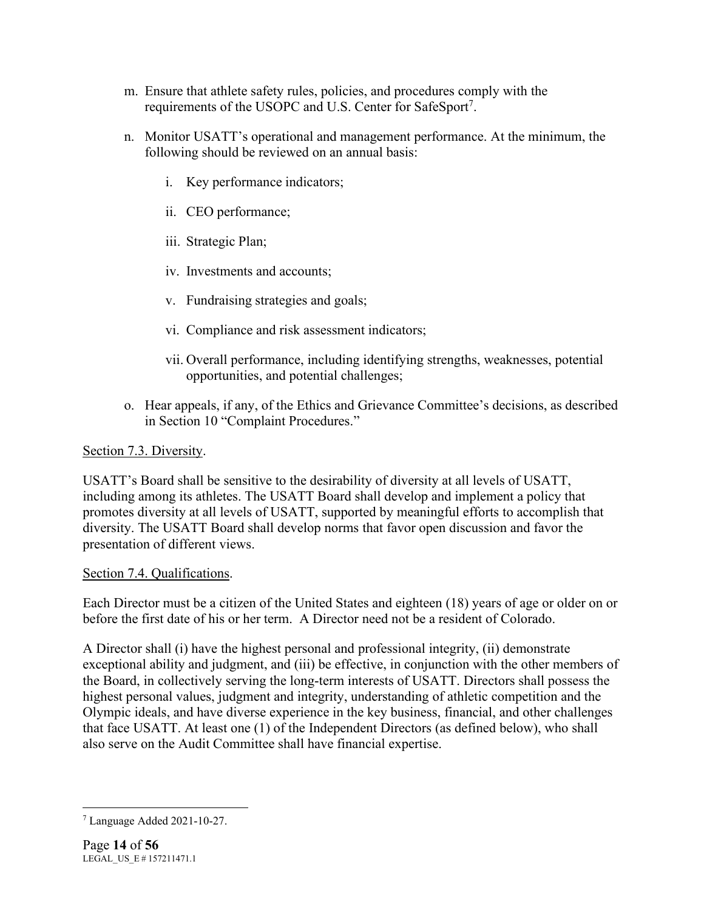- m. Ensure that athlete safety rules, policies, and procedures comply with the requirements of the USOPC and U.S. Center for SafeSport<sup>7</sup>.
- n. Monitor USATT's operational and management performance. At the minimum, the following should be reviewed on an annual basis:
	- i. Key performance indicators;
	- ii. CEO performance;
	- iii. Strategic Plan;
	- iv. Investments and accounts;
	- v. Fundraising strategies and goals;
	- vi. Compliance and risk assessment indicators;
	- vii. Overall performance, including identifying strengths, weaknesses, potential opportunities, and potential challenges;
- o. Hear appeals, if any, of the Ethics and Grievance Committee's decisions, as described in Section 10 "Complaint Procedures."

### Section 7.3. Diversity.

USATT's Board shall be sensitive to the desirability of diversity at all levels of USATT, including among its athletes. The USATT Board shall develop and implement a policy that promotes diversity at all levels of USATT, supported by meaningful efforts to accomplish that diversity. The USATT Board shall develop norms that favor open discussion and favor the presentation of different views.

# Section 7.4. Qualifications.

Each Director must be a citizen of the United States and eighteen (18) years of age or older on or before the first date of his or her term. A Director need not be a resident of Colorado.

A Director shall (i) have the highest personal and professional integrity, (ii) demonstrate exceptional ability and judgment, and (iii) be effective, in conjunction with the other members of the Board, in collectively serving the long-term interests of USATT. Directors shall possess the highest personal values, judgment and integrity, understanding of athletic competition and the Olympic ideals, and have diverse experience in the key business, financial, and other challenges that face USATT. At least one (1) of the Independent Directors (as defined below), who shall also serve on the Audit Committee shall have financial expertise.

<sup>7</sup> Language Added 2021-10-27.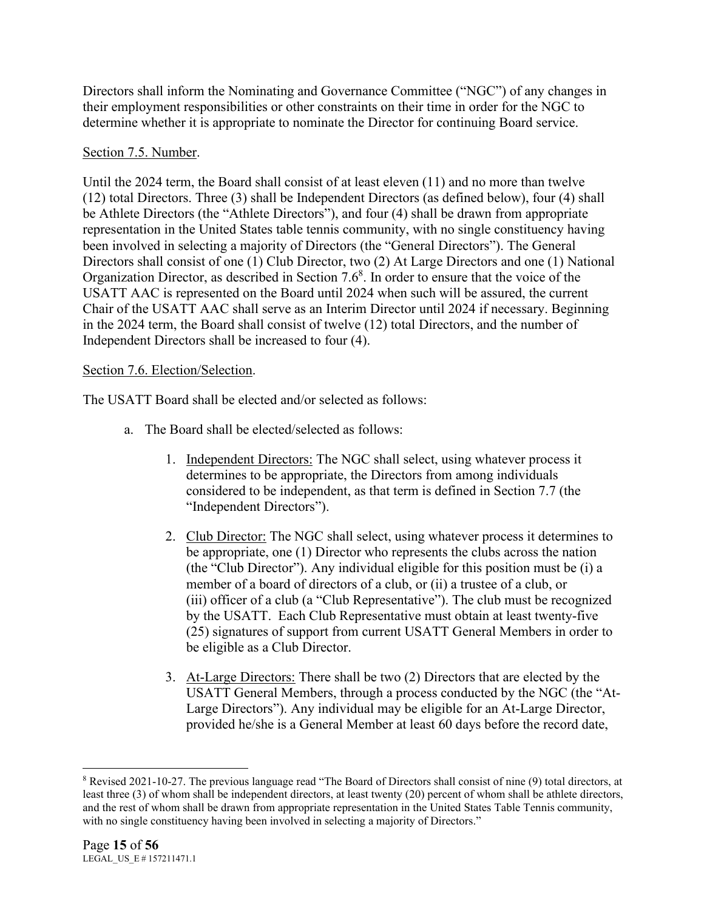Directors shall inform the Nominating and Governance Committee ("NGC") of any changes in their employment responsibilities or other constraints on their time in order for the NGC to determine whether it is appropriate to nominate the Director for continuing Board service.

# Section 7.5. Number.

Until the 2024 term, the Board shall consist of at least eleven (11) and no more than twelve (12) total Directors. Three (3) shall be Independent Directors (as defined below), four (4) shall be Athlete Directors (the "Athlete Directors"), and four (4) shall be drawn from appropriate representation in the United States table tennis community, with no single constituency having been involved in selecting a majority of Directors (the "General Directors"). The General Directors shall consist of one (1) Club Director, two (2) At Large Directors and one (1) National Organization Director, as described in Section  $7.6<sup>8</sup>$ . In order to ensure that the voice of the USATT AAC is represented on the Board until 2024 when such will be assured, the current Chair of the USATT AAC shall serve as an Interim Director until 2024 if necessary. Beginning in the 2024 term, the Board shall consist of twelve (12) total Directors, and the number of Independent Directors shall be increased to four (4).

# Section 7.6. Election/Selection.

The USATT Board shall be elected and/or selected as follows:

- a. The Board shall be elected/selected as follows:
	- 1. Independent Directors: The NGC shall select, using whatever process it determines to be appropriate, the Directors from among individuals considered to be independent, as that term is defined in Section 7.7 (the "Independent Directors").
	- 2. Club Director: The NGC shall select, using whatever process it determines to be appropriate, one (1) Director who represents the clubs across the nation (the "Club Director"). Any individual eligible for this position must be (i) a member of a board of directors of a club, or (ii) a trustee of a club, or (iii) officer of a club (a "Club Representative"). The club must be recognized by the USATT. Each Club Representative must obtain at least twenty-five (25) signatures of support from current USATT General Members in order to be eligible as a Club Director.
	- 3. At-Large Directors: There shall be two (2) Directors that are elected by the USATT General Members, through a process conducted by the NGC (the "At-Large Directors"). Any individual may be eligible for an At-Large Director, provided he/she is a General Member at least 60 days before the record date,

<sup>8</sup> Revised 2021-10-27. The previous language read "The Board of Directors shall consist of nine (9) total directors, at least three (3) of whom shall be independent directors, at least twenty (20) percent of whom shall be athlete directors, and the rest of whom shall be drawn from appropriate representation in the United States Table Tennis community, with no single constituency having been involved in selecting a majority of Directors."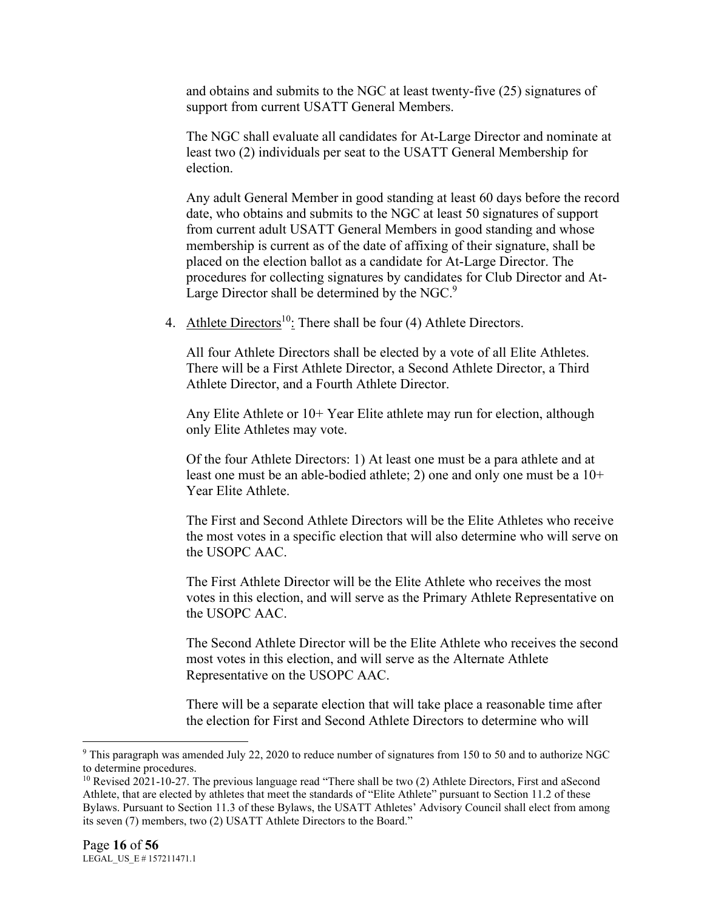and obtains and submits to the NGC at least twenty-five (25) signatures of support from current USATT General Members.

The NGC shall evaluate all candidates for At-Large Director and nominate at least two (2) individuals per seat to the USATT General Membership for election.

Any adult General Member in good standing at least 60 days before the record date, who obtains and submits to the NGC at least 50 signatures of support from current adult USATT General Members in good standing and whose membership is current as of the date of affixing of their signature, shall be placed on the election ballot as a candidate for At-Large Director. The procedures for collecting signatures by candidates for Club Director and At-Large Director shall be determined by the NGC. $9$ 

4. Athlete Directors<sup>10</sup>: There shall be four (4) Athlete Directors.

All four Athlete Directors shall be elected by a vote of all Elite Athletes. There will be a First Athlete Director, a Second Athlete Director, a Third Athlete Director, and a Fourth Athlete Director.

Any Elite Athlete or 10+ Year Elite athlete may run for election, although only Elite Athletes may vote.

Of the four Athlete Directors: 1) At least one must be a para athlete and at least one must be an able-bodied athlete; 2) one and only one must be a 10+ Year Elite Athlete.

The First and Second Athlete Directors will be the Elite Athletes who receive the most votes in a specific election that will also determine who will serve on the USOPC AAC.

The First Athlete Director will be the Elite Athlete who receives the most votes in this election, and will serve as the Primary Athlete Representative on the USOPC AAC.

The Second Athlete Director will be the Elite Athlete who receives the second most votes in this election, and will serve as the Alternate Athlete Representative on the USOPC AAC.

There will be a separate election that will take place a reasonable time after the election for First and Second Athlete Directors to determine who will

<sup>9</sup> This paragraph was amended July 22, 2020 to reduce number of signatures from 150 to 50 and to authorize NGC to determine procedures.

<sup>&</sup>lt;sup>10</sup> Revised 2021-10-27. The previous language read "There shall be two (2) Athlete Directors, First and aSecond Athlete, that are elected by athletes that meet the standards of "Elite Athlete" pursuant to Section 11.2 of these Bylaws. Pursuant to Section 11.3 of these Bylaws, the USATT Athletes' Advisory Council shall elect from among its seven (7) members, two (2) USATT Athlete Directors to the Board."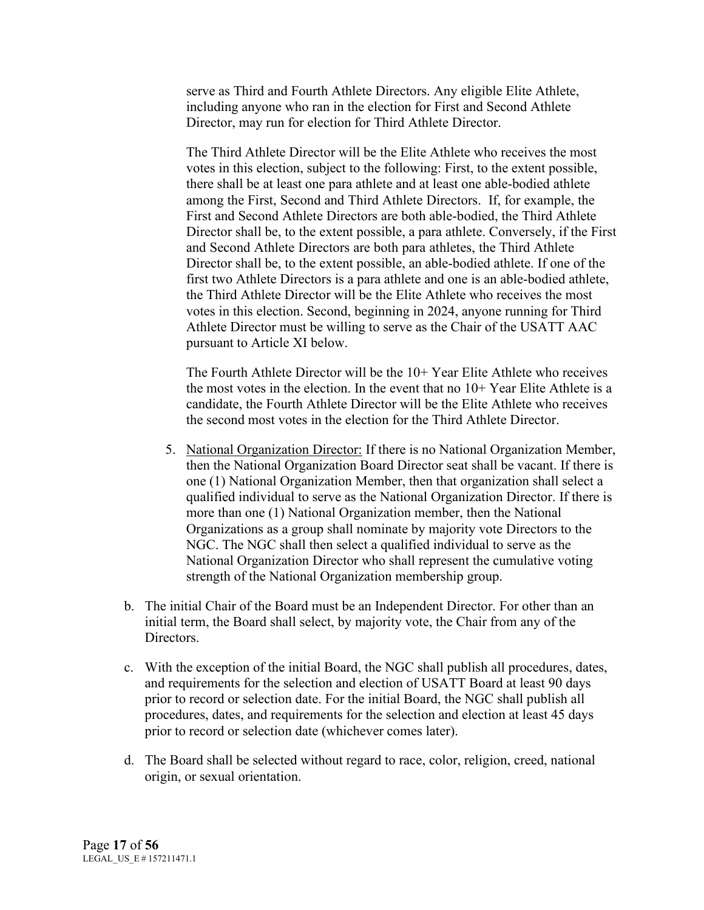serve as Third and Fourth Athlete Directors. Any eligible Elite Athlete, including anyone who ran in the election for First and Second Athlete Director, may run for election for Third Athlete Director.

The Third Athlete Director will be the Elite Athlete who receives the most votes in this election, subject to the following: First, to the extent possible, there shall be at least one para athlete and at least one able-bodied athlete among the First, Second and Third Athlete Directors. If, for example, the First and Second Athlete Directors are both able-bodied, the Third Athlete Director shall be, to the extent possible, a para athlete. Conversely, if the First and Second Athlete Directors are both para athletes, the Third Athlete Director shall be, to the extent possible, an able-bodied athlete. If one of the first two Athlete Directors is a para athlete and one is an able-bodied athlete, the Third Athlete Director will be the Elite Athlete who receives the most votes in this election. Second, beginning in 2024, anyone running for Third Athlete Director must be willing to serve as the Chair of the USATT AAC pursuant to Article XI below.

The Fourth Athlete Director will be the  $10+$  Year Elite Athlete who receives the most votes in the election. In the event that no 10+ Year Elite Athlete is a candidate, the Fourth Athlete Director will be the Elite Athlete who receives the second most votes in the election for the Third Athlete Director.

- 5. National Organization Director: If there is no National Organization Member, then the National Organization Board Director seat shall be vacant. If there is one (1) National Organization Member, then that organization shall select a qualified individual to serve as the National Organization Director. If there is more than one (1) National Organization member, then the National Organizations as a group shall nominate by majority vote Directors to the NGC. The NGC shall then select a qualified individual to serve as the National Organization Director who shall represent the cumulative voting strength of the National Organization membership group.
- b. The initial Chair of the Board must be an Independent Director. For other than an initial term, the Board shall select, by majority vote, the Chair from any of the Directors.
- c. With the exception of the initial Board, the NGC shall publish all procedures, dates, and requirements for the selection and election of USATT Board at least 90 days prior to record or selection date. For the initial Board, the NGC shall publish all procedures, dates, and requirements for the selection and election at least 45 days prior to record or selection date (whichever comes later).
- d. The Board shall be selected without regard to race, color, religion, creed, national origin, or sexual orientation.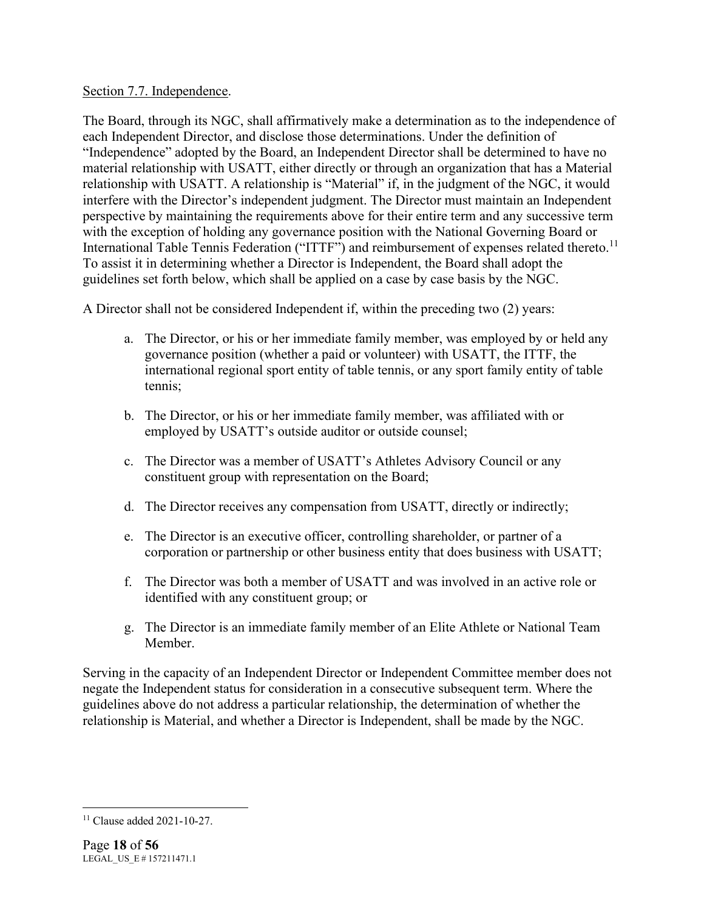Section 7.7. Independence.

The Board, through its NGC, shall affirmatively make a determination as to the independence of each Independent Director, and disclose those determinations. Under the definition of "Independence" adopted by the Board, an Independent Director shall be determined to have no material relationship with USATT, either directly or through an organization that has a Material relationship with USATT. A relationship is "Material" if, in the judgment of the NGC, it would interfere with the Director's independent judgment. The Director must maintain an Independent perspective by maintaining the requirements above for their entire term and any successive term with the exception of holding any governance position with the National Governing Board or International Table Tennis Federation ("ITTF") and reimbursement of expenses related thereto.<sup>11</sup> To assist it in determining whether a Director is Independent, the Board shall adopt the guidelines set forth below, which shall be applied on a case by case basis by the NGC.

A Director shall not be considered Independent if, within the preceding two (2) years:

- a. The Director, or his or her immediate family member, was employed by or held any governance position (whether a paid or volunteer) with USATT, the ITTF, the international regional sport entity of table tennis, or any sport family entity of table tennis;
- b. The Director, or his or her immediate family member, was affiliated with or employed by USATT's outside auditor or outside counsel;
- c. The Director was a member of USATT's Athletes Advisory Council or any constituent group with representation on the Board;
- d. The Director receives any compensation from USATT, directly or indirectly;
- e. The Director is an executive officer, controlling shareholder, or partner of a corporation or partnership or other business entity that does business with USATT;
- f. The Director was both a member of USATT and was involved in an active role or identified with any constituent group; or
- g. The Director is an immediate family member of an Elite Athlete or National Team Member.

Serving in the capacity of an Independent Director or Independent Committee member does not negate the Independent status for consideration in a consecutive subsequent term. Where the guidelines above do not address a particular relationship, the determination of whether the relationship is Material, and whether a Director is Independent, shall be made by the NGC.

<sup>11</sup> Clause added 2021-10-27.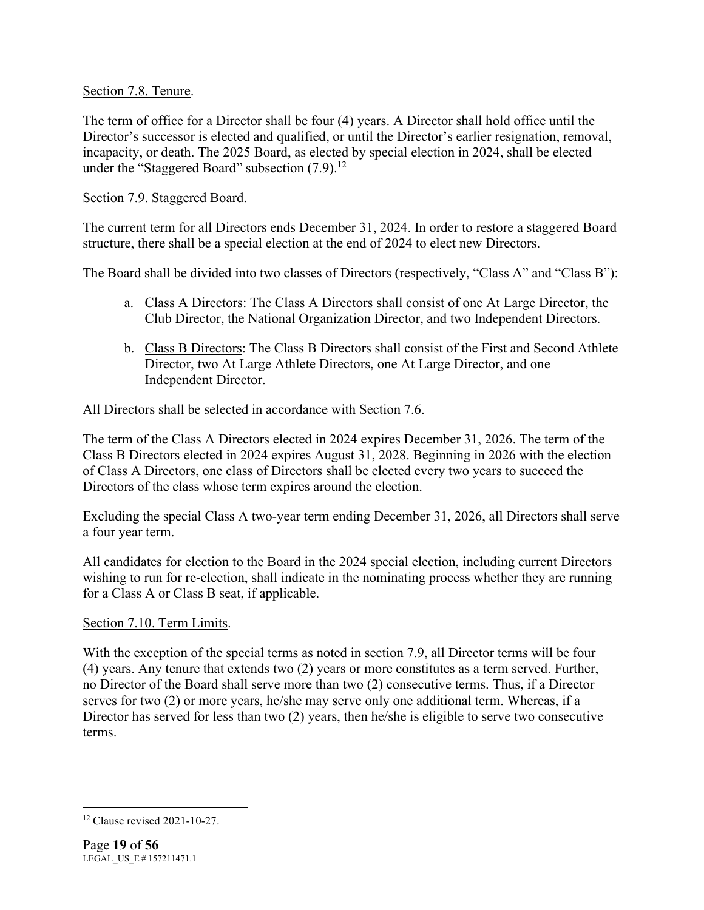### Section 7.8. Tenure.

The term of office for a Director shall be four (4) years. A Director shall hold office until the Director's successor is elected and qualified, or until the Director's earlier resignation, removal, incapacity, or death. The 2025 Board, as elected by special election in 2024, shall be elected under the "Staggered Board" subsection  $(7.9)$ <sup>12</sup>

### Section 7.9. Staggered Board.

The current term for all Directors ends December 31, 2024. In order to restore a staggered Board structure, there shall be a special election at the end of 2024 to elect new Directors.

The Board shall be divided into two classes of Directors (respectively, "Class A" and "Class B"):

- a. Class A Directors: The Class A Directors shall consist of one At Large Director, the Club Director, the National Organization Director, and two Independent Directors.
- b. Class B Directors: The Class B Directors shall consist of the First and Second Athlete Director, two At Large Athlete Directors, one At Large Director, and one Independent Director.

All Directors shall be selected in accordance with Section 7.6.

The term of the Class A Directors elected in 2024 expires December 31, 2026. The term of the Class B Directors elected in 2024 expires August 31, 2028. Beginning in 2026 with the election of Class A Directors, one class of Directors shall be elected every two years to succeed the Directors of the class whose term expires around the election.

Excluding the special Class A two-year term ending December 31, 2026, all Directors shall serve a four year term.

All candidates for election to the Board in the 2024 special election, including current Directors wishing to run for re-election, shall indicate in the nominating process whether they are running for a Class A or Class B seat, if applicable.

# Section 7.10. Term Limits.

With the exception of the special terms as noted in section 7.9, all Director terms will be four (4) years. Any tenure that extends two (2) years or more constitutes as a term served. Further, no Director of the Board shall serve more than two (2) consecutive terms. Thus, if a Director serves for two (2) or more years, he/she may serve only one additional term. Whereas, if a Director has served for less than two (2) years, then he/she is eligible to serve two consecutive terms.

<sup>12</sup> Clause revised 2021-10-27.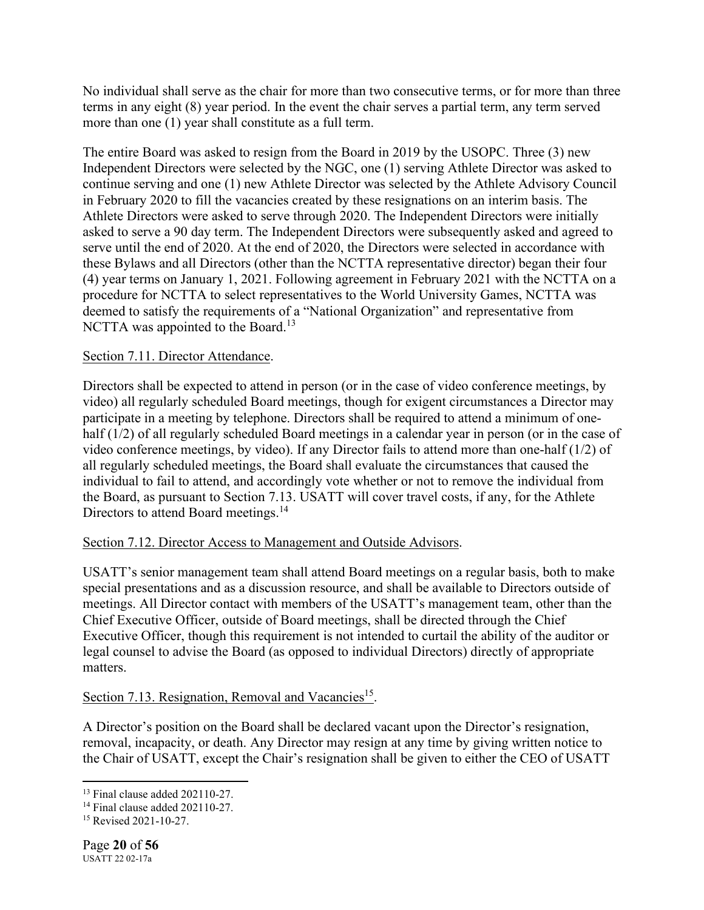No individual shall serve as the chair for more than two consecutive terms, or for more than three terms in any eight (8) year period. In the event the chair serves a partial term, any term served more than one (1) year shall constitute as a full term.

The entire Board was asked to resign from the Board in 2019 by the USOPC. Three (3) new Independent Directors were selected by the NGC, one (1) serving Athlete Director was asked to continue serving and one (1) new Athlete Director was selected by the Athlete Advisory Council in February 2020 to fill the vacancies created by these resignations on an interim basis. The Athlete Directors were asked to serve through 2020. The Independent Directors were initially asked to serve a 90 day term. The Independent Directors were subsequently asked and agreed to serve until the end of 2020. At the end of 2020, the Directors were selected in accordance with these Bylaws and all Directors (other than the NCTTA representative director) began their four (4) year terms on January 1, 2021. Following agreement in February 2021 with the NCTTA on a procedure for NCTTA to select representatives to the World University Games, NCTTA was deemed to satisfy the requirements of a "National Organization" and representative from NCTTA was appointed to the Board.<sup>13</sup>

# Section 7.11. Director Attendance.

Directors shall be expected to attend in person (or in the case of video conference meetings, by video) all regularly scheduled Board meetings, though for exigent circumstances a Director may participate in a meeting by telephone. Directors shall be required to attend a minimum of onehalf (1/2) of all regularly scheduled Board meetings in a calendar year in person (or in the case of video conference meetings, by video). If any Director fails to attend more than one-half (1/2) of all regularly scheduled meetings, the Board shall evaluate the circumstances that caused the individual to fail to attend, and accordingly vote whether or not to remove the individual from the Board, as pursuant to Section 7.13. USATT will cover travel costs, if any, for the Athlete Directors to attend Board meetings.<sup>14</sup>

# Section 7.12. Director Access to Management and Outside Advisors.

USATT's senior management team shall attend Board meetings on a regular basis, both to make special presentations and as a discussion resource, and shall be available to Directors outside of meetings. All Director contact with members of the USATT's management team, other than the Chief Executive Officer, outside of Board meetings, shall be directed through the Chief Executive Officer, though this requirement is not intended to curtail the ability of the auditor or legal counsel to advise the Board (as opposed to individual Directors) directly of appropriate matters.

# Section 7.13. Resignation, Removal and Vacancies<sup>15</sup>.

A Director's position on the Board shall be declared vacant upon the Director's resignation, removal, incapacity, or death. Any Director may resign at any time by giving written notice to the Chair of USATT, except the Chair's resignation shall be given to either the CEO of USATT

<sup>13</sup> Final clause added 202110-27.

<sup>14</sup> Final clause added 202110-27.

<sup>15</sup> Revised 2021-10-27.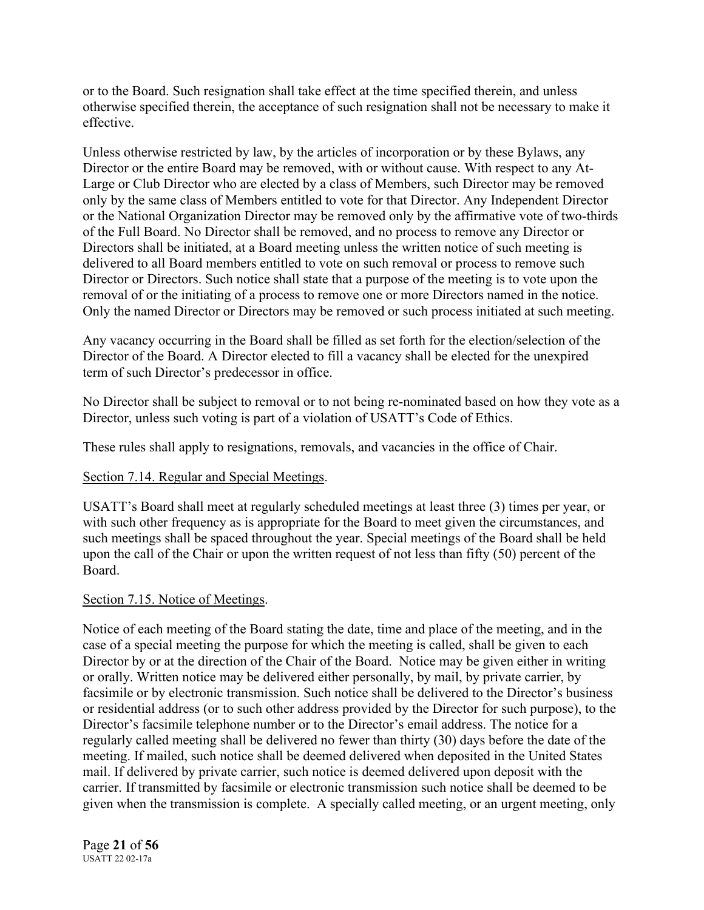or to the Board. Such resignation shall take effect at the time specified therein, and unless otherwise specified therein, the acceptance of such resignation shall not be necessary to make it effective.

Unless otherwise restricted by law, by the articles of incorporation or by these Bylaws, any Director or the entire Board may be removed, with or without cause. With respect to any At-Large or Club Director who are elected by a class of Members, such Director may be removed only by the same class of Members entitled to vote for that Director. Any Independent Director or the National Organization Director may be removed only by the affirmative vote of two-thirds of the Full Board. No Director shall be removed, and no process to remove any Director or Directors shall be initiated, at a Board meeting unless the written notice of such meeting is delivered to all Board members entitled to vote on such removal or process to remove such Director or Directors. Such notice shall state that a purpose of the meeting is to vote upon the removal of or the initiating of a process to remove one or more Directors named in the notice. Only the named Director or Directors may be removed or such process initiated at such meeting.

Any vacancy occurring in the Board shall be filled as set forth for the election/selection of the Director of the Board. A Director elected to fill a vacancy shall be elected for the unexpired term of such Director's predecessor in office.

No Director shall be subject to removal or to not being re-nominated based on how they vote as a Director, unless such voting is part of a violation of USATT's Code of Ethics.

These rules shall apply to resignations, removals, and vacancies in the office of Chair.

# Section 7.14. Regular and Special Meetings.

USATT's Board shall meet at regularly scheduled meetings at least three (3) times per year, or with such other frequency as is appropriate for the Board to meet given the circumstances, and such meetings shall be spaced throughout the year. Special meetings of the Board shall be held upon the call of the Chair or upon the written request of not less than fifty (50) percent of the Board.

#### Section 7.15. Notice of Meetings.

Notice of each meeting of the Board stating the date, time and place of the meeting, and in the case of a special meeting the purpose for which the meeting is called, shall be given to each Director by or at the direction of the Chair of the Board. Notice may be given either in writing or orally. Written notice may be delivered either personally, by mail, by private carrier, by facsimile or by electronic transmission. Such notice shall be delivered to the Director's business or residential address (or to such other address provided by the Director for such purpose), to the Director's facsimile telephone number or to the Director's email address. The notice for a regularly called meeting shall be delivered no fewer than thirty (30) days before the date of the meeting. If mailed, such notice shall be deemed delivered when deposited in the United States mail. If delivered by private carrier, such notice is deemed delivered upon deposit with the carrier. If transmitted by facsimile or electronic transmission such notice shall be deemed to be given when the transmission is complete. A specially called meeting, or an urgent meeting, only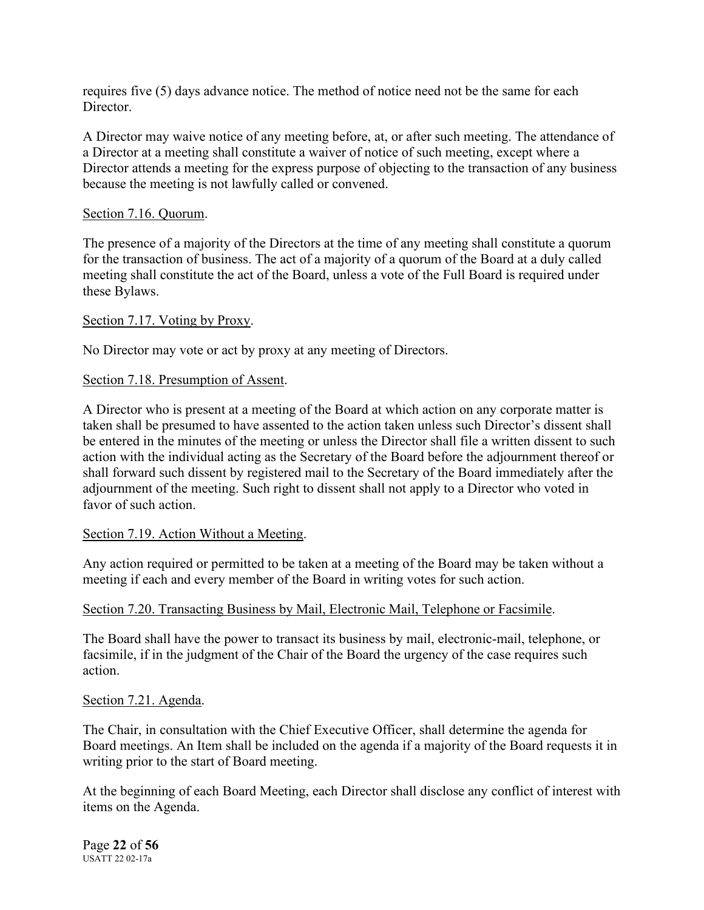requires five (5) days advance notice. The method of notice need not be the same for each Director.

A Director may waive notice of any meeting before, at, or after such meeting. The attendance of a Director at a meeting shall constitute a waiver of notice of such meeting, except where a Director attends a meeting for the express purpose of objecting to the transaction of any business because the meeting is not lawfully called or convened.

#### Section 7.16. Quorum.

The presence of a majority of the Directors at the time of any meeting shall constitute a quorum for the transaction of business. The act of a majority of a quorum of the Board at a duly called meeting shall constitute the act of the Board, unless a vote of the Full Board is required under these Bylaws.

### Section 7.17. Voting by Proxy.

No Director may vote or act by proxy at any meeting of Directors.

#### Section 7.18. Presumption of Assent.

A Director who is present at a meeting of the Board at which action on any corporate matter is taken shall be presumed to have assented to the action taken unless such Director's dissent shall be entered in the minutes of the meeting or unless the Director shall file a written dissent to such action with the individual acting as the Secretary of the Board before the adjournment thereof or shall forward such dissent by registered mail to the Secretary of the Board immediately after the adjournment of the meeting. Such right to dissent shall not apply to a Director who voted in favor of such action.

#### Section 7.19. Action Without a Meeting.

Any action required or permitted to be taken at a meeting of the Board may be taken without a meeting if each and every member of the Board in writing votes for such action.

#### Section 7.20. Transacting Business by Mail, Electronic Mail, Telephone or Facsimile.

The Board shall have the power to transact its business by mail, electronic-mail, telephone, or facsimile, if in the judgment of the Chair of the Board the urgency of the case requires such action.

#### Section 7.21. Agenda.

The Chair, in consultation with the Chief Executive Officer, shall determine the agenda for Board meetings. An Item shall be included on the agenda if a majority of the Board requests it in writing prior to the start of Board meeting.

At the beginning of each Board Meeting, each Director shall disclose any conflict of interest with items on the Agenda.

Page **22** of **56** USATT 22 02-17a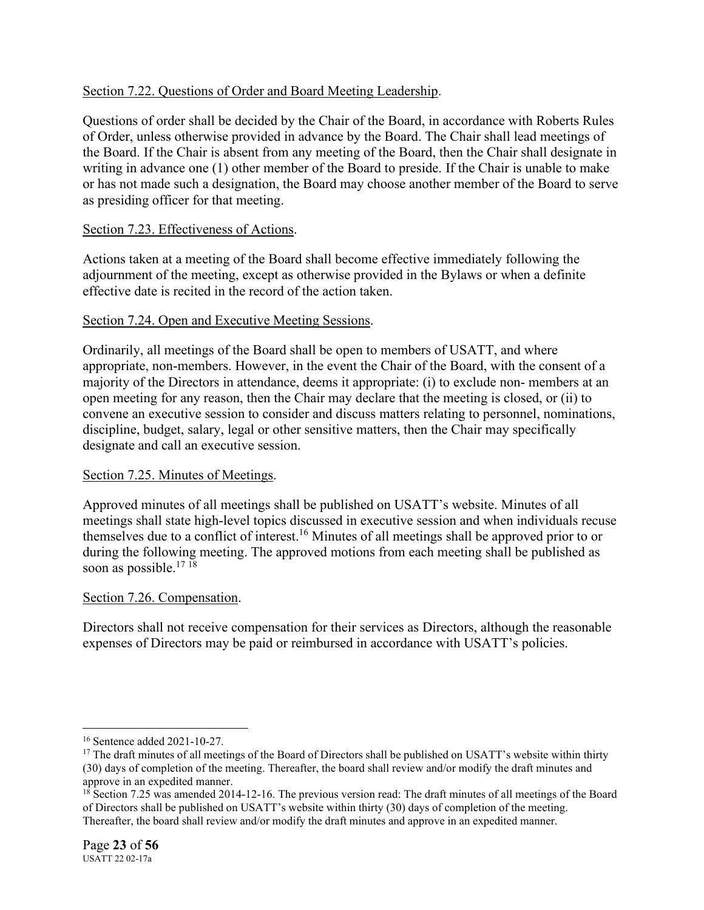# Section 7.22. Questions of Order and Board Meeting Leadership.

Questions of order shall be decided by the Chair of the Board, in accordance with Roberts Rules of Order, unless otherwise provided in advance by the Board. The Chair shall lead meetings of the Board. If the Chair is absent from any meeting of the Board, then the Chair shall designate in writing in advance one (1) other member of the Board to preside. If the Chair is unable to make or has not made such a designation, the Board may choose another member of the Board to serve as presiding officer for that meeting.

# Section 7.23. Effectiveness of Actions.

Actions taken at a meeting of the Board shall become effective immediately following the adjournment of the meeting, except as otherwise provided in the Bylaws or when a definite effective date is recited in the record of the action taken.

# Section 7.24. Open and Executive Meeting Sessions.

Ordinarily, all meetings of the Board shall be open to members of USATT, and where appropriate, non-members. However, in the event the Chair of the Board, with the consent of a majority of the Directors in attendance, deems it appropriate: (i) to exclude non- members at an open meeting for any reason, then the Chair may declare that the meeting is closed, or (ii) to convene an executive session to consider and discuss matters relating to personnel, nominations, discipline, budget, salary, legal or other sensitive matters, then the Chair may specifically designate and call an executive session.

# Section 7.25. Minutes of Meetings.

Approved minutes of all meetings shall be published on USATT's website. Minutes of all meetings shall state high-level topics discussed in executive session and when individuals recuse themselves due to a conflict of interest.<sup>16</sup> Minutes of all meetings shall be approved prior to or during the following meeting. The approved motions from each meeting shall be published as soon as possible.<sup>17 18</sup>

# Section 7.26. Compensation.

Directors shall not receive compensation for their services as Directors, although the reasonable expenses of Directors may be paid or reimbursed in accordance with USATT's policies.

<sup>16</sup> Sentence added 2021-10-27.

 $17$  The draft minutes of all meetings of the Board of Directors shall be published on USATT's website within thirty (30) days of completion of the meeting. Thereafter, the board shall review and/or modify the draft minutes and approve in an expedited manner.

<sup>&</sup>lt;sup>18</sup> Section 7.25 was amended 2014-12-16. The previous version read: The draft minutes of all meetings of the Board of Directors shall be published on USATT's website within thirty (30) days of completion of the meeting. Thereafter, the board shall review and/or modify the draft minutes and approve in an expedited manner.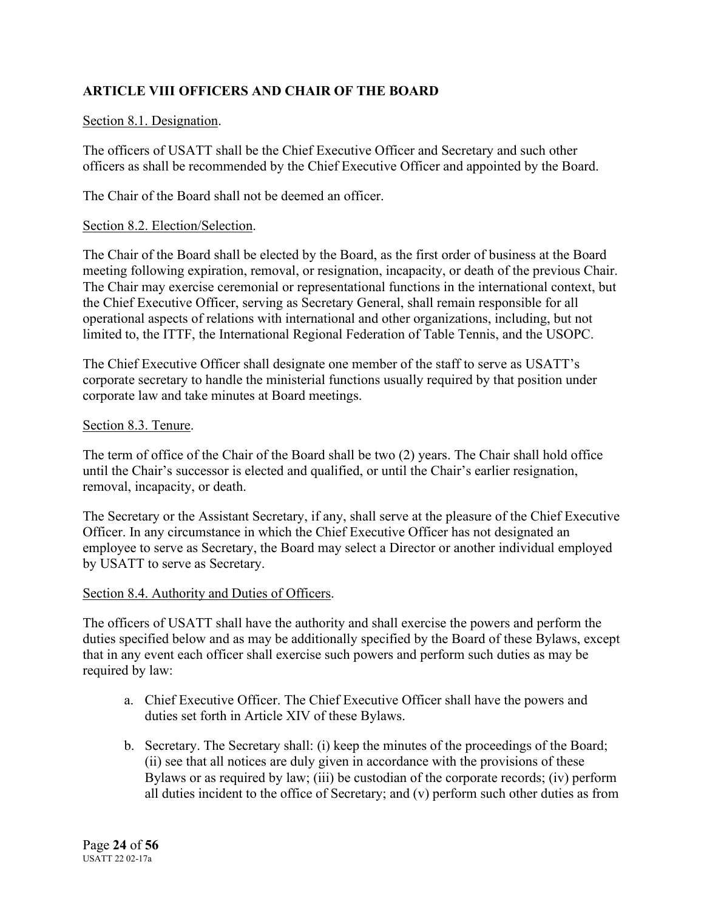# **ARTICLE VIII OFFICERS AND CHAIR OF THE BOARD**

# Section 8.1. Designation.

The officers of USATT shall be the Chief Executive Officer and Secretary and such other officers as shall be recommended by the Chief Executive Officer and appointed by the Board.

The Chair of the Board shall not be deemed an officer.

### Section 8.2. Election/Selection.

The Chair of the Board shall be elected by the Board, as the first order of business at the Board meeting following expiration, removal, or resignation, incapacity, or death of the previous Chair. The Chair may exercise ceremonial or representational functions in the international context, but the Chief Executive Officer, serving as Secretary General, shall remain responsible for all operational aspects of relations with international and other organizations, including, but not limited to, the ITTF, the International Regional Federation of Table Tennis, and the USOPC.

The Chief Executive Officer shall designate one member of the staff to serve as USATT's corporate secretary to handle the ministerial functions usually required by that position under corporate law and take minutes at Board meetings.

#### Section 8.3. Tenure.

The term of office of the Chair of the Board shall be two (2) years. The Chair shall hold office until the Chair's successor is elected and qualified, or until the Chair's earlier resignation, removal, incapacity, or death.

The Secretary or the Assistant Secretary, if any, shall serve at the pleasure of the Chief Executive Officer. In any circumstance in which the Chief Executive Officer has not designated an employee to serve as Secretary, the Board may select a Director or another individual employed by USATT to serve as Secretary.

# Section 8.4. Authority and Duties of Officers.

The officers of USATT shall have the authority and shall exercise the powers and perform the duties specified below and as may be additionally specified by the Board of these Bylaws, except that in any event each officer shall exercise such powers and perform such duties as may be required by law:

- a. Chief Executive Officer. The Chief Executive Officer shall have the powers and duties set forth in Article XIV of these Bylaws.
- b. Secretary. The Secretary shall: (i) keep the minutes of the proceedings of the Board; (ii) see that all notices are duly given in accordance with the provisions of these Bylaws or as required by law; (iii) be custodian of the corporate records; (iv) perform all duties incident to the office of Secretary; and (v) perform such other duties as from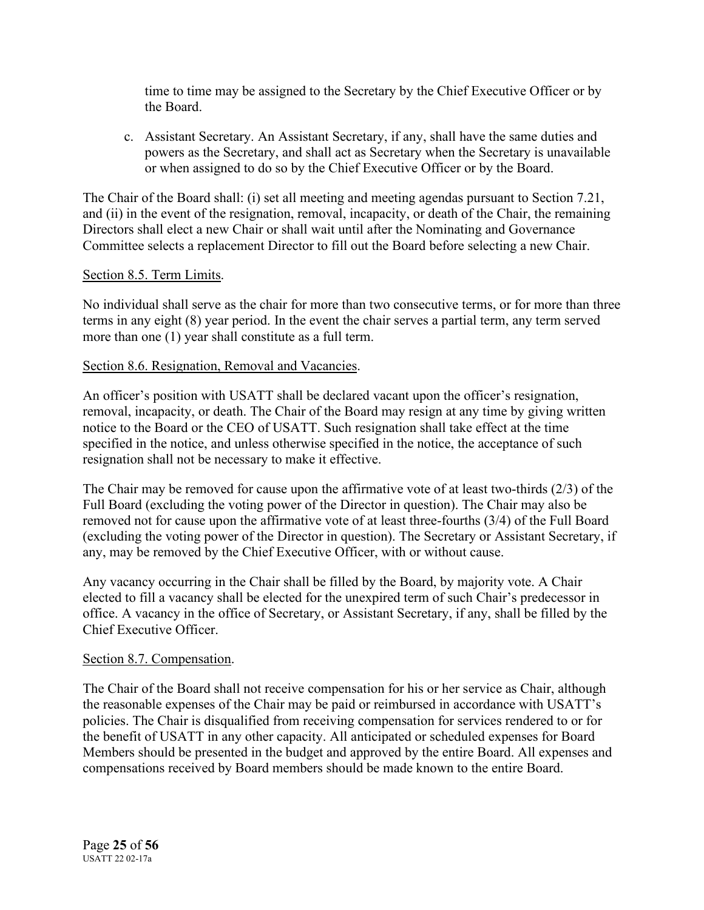time to time may be assigned to the Secretary by the Chief Executive Officer or by the Board.

c. Assistant Secretary. An Assistant Secretary, if any, shall have the same duties and powers as the Secretary, and shall act as Secretary when the Secretary is unavailable or when assigned to do so by the Chief Executive Officer or by the Board.

The Chair of the Board shall: (i) set all meeting and meeting agendas pursuant to Section 7.21, and (ii) in the event of the resignation, removal, incapacity, or death of the Chair, the remaining Directors shall elect a new Chair or shall wait until after the Nominating and Governance Committee selects a replacement Director to fill out the Board before selecting a new Chair.

### Section 8.5. Term Limits.

No individual shall serve as the chair for more than two consecutive terms, or for more than three terms in any eight (8) year period. In the event the chair serves a partial term, any term served more than one (1) year shall constitute as a full term.

### Section 8.6. Resignation, Removal and Vacancies.

An officer's position with USATT shall be declared vacant upon the officer's resignation, removal, incapacity, or death. The Chair of the Board may resign at any time by giving written notice to the Board or the CEO of USATT. Such resignation shall take effect at the time specified in the notice, and unless otherwise specified in the notice, the acceptance of such resignation shall not be necessary to make it effective.

The Chair may be removed for cause upon the affirmative vote of at least two-thirds (2/3) of the Full Board (excluding the voting power of the Director in question). The Chair may also be removed not for cause upon the affirmative vote of at least three-fourths (3/4) of the Full Board (excluding the voting power of the Director in question). The Secretary or Assistant Secretary, if any, may be removed by the Chief Executive Officer, with or without cause.

Any vacancy occurring in the Chair shall be filled by the Board, by majority vote. A Chair elected to fill a vacancy shall be elected for the unexpired term of such Chair's predecessor in office. A vacancy in the office of Secretary, or Assistant Secretary, if any, shall be filled by the Chief Executive Officer.

#### Section 8.7. Compensation.

The Chair of the Board shall not receive compensation for his or her service as Chair, although the reasonable expenses of the Chair may be paid or reimbursed in accordance with USATT's policies. The Chair is disqualified from receiving compensation for services rendered to or for the benefit of USATT in any other capacity. All anticipated or scheduled expenses for Board Members should be presented in the budget and approved by the entire Board. All expenses and compensations received by Board members should be made known to the entire Board.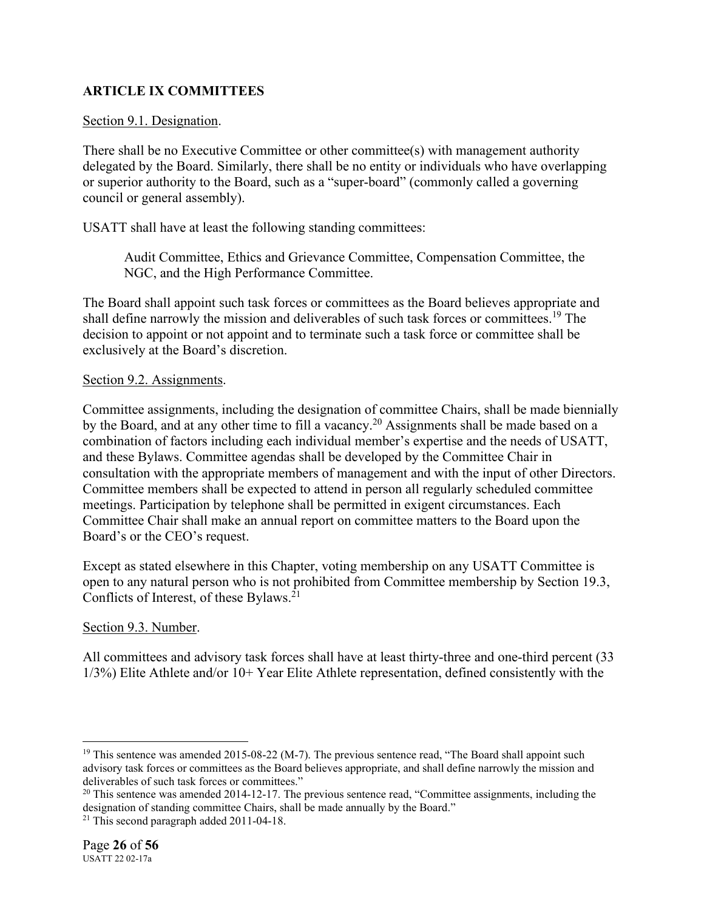# **ARTICLE IX COMMITTEES**

#### Section 9.1. Designation.

There shall be no Executive Committee or other committee(s) with management authority delegated by the Board. Similarly, there shall be no entity or individuals who have overlapping or superior authority to the Board, such as a "super-board" (commonly called a governing council or general assembly).

USATT shall have at least the following standing committees:

Audit Committee, Ethics and Grievance Committee, Compensation Committee, the NGC, and the High Performance Committee.

The Board shall appoint such task forces or committees as the Board believes appropriate and shall define narrowly the mission and deliverables of such task forces or committees.<sup>19</sup> The decision to appoint or not appoint and to terminate such a task force or committee shall be exclusively at the Board's discretion.

### Section 9.2. Assignments.

Committee assignments, including the designation of committee Chairs, shall be made biennially by the Board, and at any other time to fill a vacancy.<sup>20</sup> Assignments shall be made based on a combination of factors including each individual member's expertise and the needs of USATT, and these Bylaws. Committee agendas shall be developed by the Committee Chair in consultation with the appropriate members of management and with the input of other Directors. Committee members shall be expected to attend in person all regularly scheduled committee meetings. Participation by telephone shall be permitted in exigent circumstances. Each Committee Chair shall make an annual report on committee matters to the Board upon the Board's or the CEO's request.

Except as stated elsewhere in this Chapter, voting membership on any USATT Committee is open to any natural person who is not prohibited from Committee membership by Section 19.3, Conflicts of Interest, of these Bylaws.<sup>21</sup>

# Section 9.3. Number.

All committees and advisory task forces shall have at least thirty-three and one-third percent (33 1/3%) Elite Athlete and/or 10+ Year Elite Athlete representation, defined consistently with the

<sup>&</sup>lt;sup>19</sup> This sentence was amended 2015-08-22 (M-7). The previous sentence read, "The Board shall appoint such advisory task forces or committees as the Board believes appropriate, and shall define narrowly the mission and deliverables of such task forces or committees."

 $^{20}$  This sentence was amended 2014-12-17. The previous sentence read, "Committee assignments, including the designation of standing committee Chairs, shall be made annually by the Board."

<sup>&</sup>lt;sup>21</sup> This second paragraph added 2011-04-18.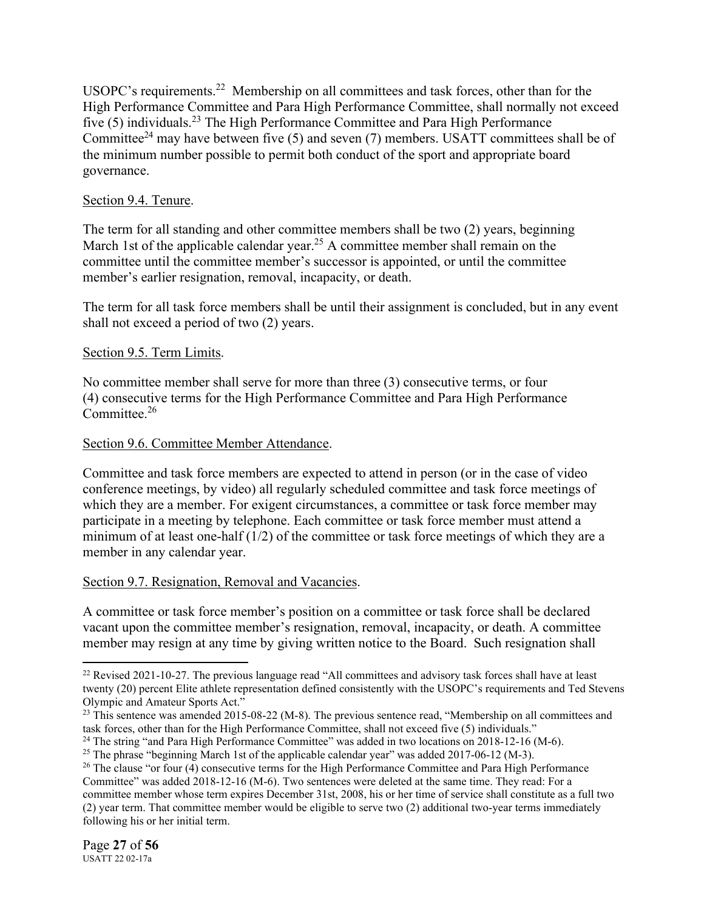USOPC's requirements.<sup>22</sup> Membership on all committees and task forces, other than for the High Performance Committee and Para High Performance Committee, shall normally not exceed five (5) individuals.<sup>23</sup> The High Performance Committee and Para High Performance Committee<sup>24</sup> may have between five (5) and seven (7) members. USATT committees shall be of the minimum number possible to permit both conduct of the sport and appropriate board governance.

# Section 9.4. Tenure.

The term for all standing and other committee members shall be two (2) years, beginning March 1st of the applicable calendar year.<sup>25</sup> A committee member shall remain on the committee until the committee member's successor is appointed, or until the committee member's earlier resignation, removal, incapacity, or death.

The term for all task force members shall be until their assignment is concluded, but in any event shall not exceed a period of two (2) years.

# Section 9.5. Term Limits.

No committee member shall serve for more than three (3) consecutive terms, or four (4) consecutive terms for the High Performance Committee and Para High Performance Committee.<sup>26</sup>

# Section 9.6. Committee Member Attendance.

Committee and task force members are expected to attend in person (or in the case of video conference meetings, by video) all regularly scheduled committee and task force meetings of which they are a member. For exigent circumstances, a committee or task force member may participate in a meeting by telephone. Each committee or task force member must attend a minimum of at least one-half  $(1/2)$  of the committee or task force meetings of which they are a member in any calendar year.

# Section 9.7. Resignation, Removal and Vacancies.

A committee or task force member's position on a committee or task force shall be declared vacant upon the committee member's resignation, removal, incapacity, or death. A committee member may resign at any time by giving written notice to the Board. Such resignation shall

<sup>&</sup>lt;sup>22</sup> Revised 2021-10-27. The previous language read "All committees and advisory task forces shall have at least twenty (20) percent Elite athlete representation defined consistently with the USOPC's requirements and Ted Stevens Olympic and Amateur Sports Act."

<sup>&</sup>lt;sup>23</sup> This sentence was amended 2015-08-22 (M-8). The previous sentence read, "Membership on all committees and task forces, other than for the High Performance Committee, shall not exceed five (5) individuals."

<sup>&</sup>lt;sup>24</sup> The string "and Para High Performance Committee" was added in two locations on 2018-12-16 (M-6).

<sup>&</sup>lt;sup>25</sup> The phrase "beginning March 1st of the applicable calendar year" was added  $2017-06-12$  (M-3).

 $26$  The clause "or four (4) consecutive terms for the High Performance Committee and Para High Performance Committee" was added 2018-12-16 (M-6). Two sentences were deleted at the same time. They read: For a committee member whose term expires December 31st, 2008, his or her time of service shall constitute as a full two (2) year term. That committee member would be eligible to serve two (2) additional two-year terms immediately following his or her initial term.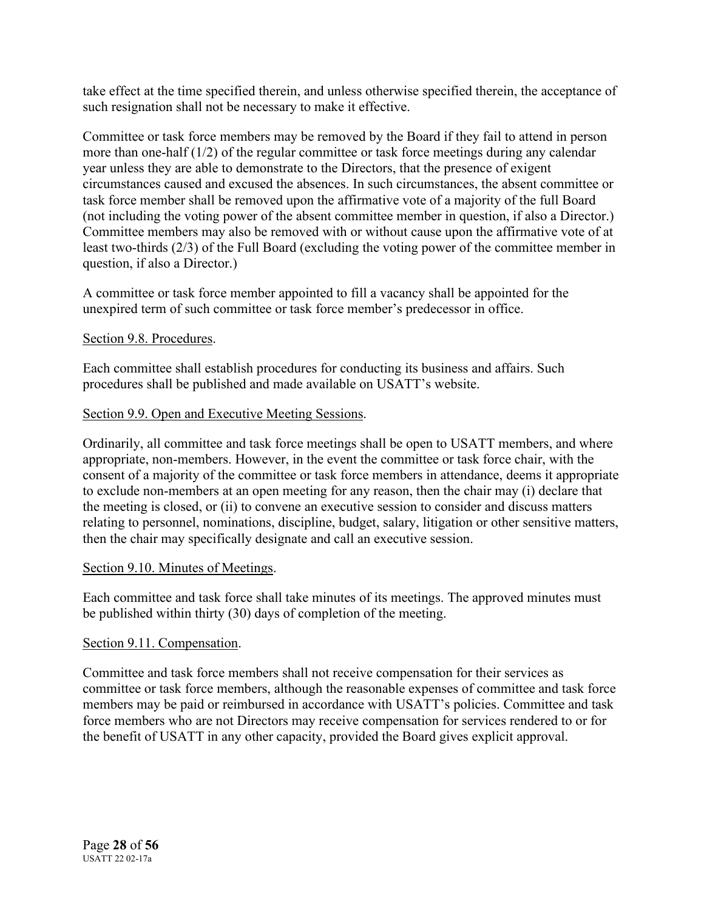take effect at the time specified therein, and unless otherwise specified therein, the acceptance of such resignation shall not be necessary to make it effective.

Committee or task force members may be removed by the Board if they fail to attend in person more than one-half (1/2) of the regular committee or task force meetings during any calendar year unless they are able to demonstrate to the Directors, that the presence of exigent circumstances caused and excused the absences. In such circumstances, the absent committee or task force member shall be removed upon the affirmative vote of a majority of the full Board (not including the voting power of the absent committee member in question, if also a Director.) Committee members may also be removed with or without cause upon the affirmative vote of at least two-thirds (2/3) of the Full Board (excluding the voting power of the committee member in question, if also a Director.)

A committee or task force member appointed to fill a vacancy shall be appointed for the unexpired term of such committee or task force member's predecessor in office.

# Section 9.8. Procedures.

Each committee shall establish procedures for conducting its business and affairs. Such procedures shall be published and made available on USATT's website.

# Section 9.9. Open and Executive Meeting Sessions.

Ordinarily, all committee and task force meetings shall be open to USATT members, and where appropriate, non-members. However, in the event the committee or task force chair, with the consent of a majority of the committee or task force members in attendance, deems it appropriate to exclude non-members at an open meeting for any reason, then the chair may (i) declare that the meeting is closed, or (ii) to convene an executive session to consider and discuss matters relating to personnel, nominations, discipline, budget, salary, litigation or other sensitive matters, then the chair may specifically designate and call an executive session.

# Section 9.10. Minutes of Meetings.

Each committee and task force shall take minutes of its meetings. The approved minutes must be published within thirty (30) days of completion of the meeting.

# Section 9.11. Compensation.

Committee and task force members shall not receive compensation for their services as committee or task force members, although the reasonable expenses of committee and task force members may be paid or reimbursed in accordance with USATT's policies. Committee and task force members who are not Directors may receive compensation for services rendered to or for the benefit of USATT in any other capacity, provided the Board gives explicit approval.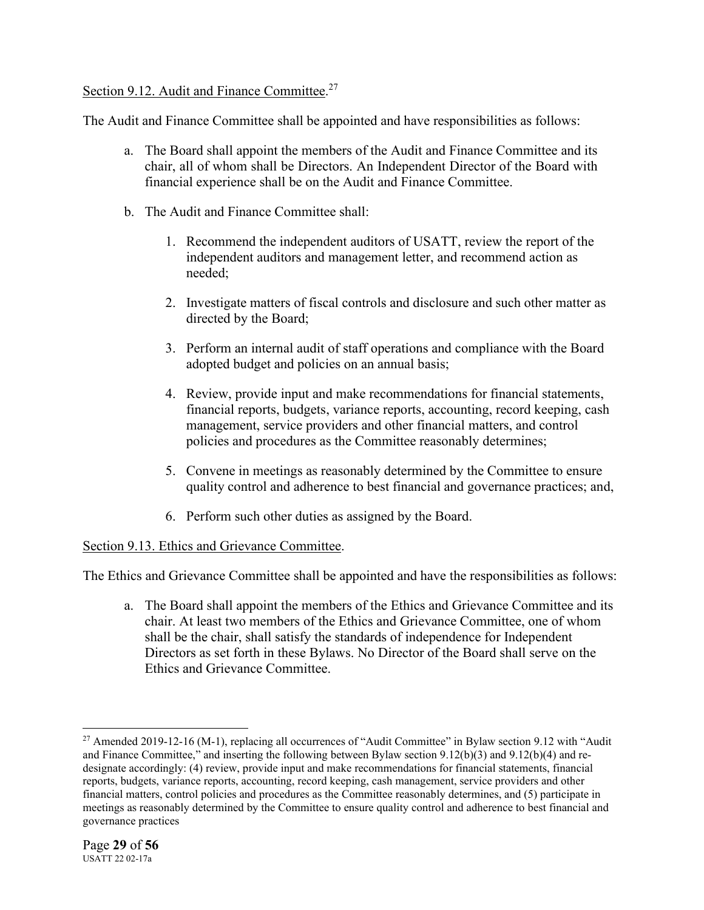# Section 9.12. Audit and Finance Committee.<sup>27</sup>

The Audit and Finance Committee shall be appointed and have responsibilities as follows:

- a. The Board shall appoint the members of the Audit and Finance Committee and its chair, all of whom shall be Directors. An Independent Director of the Board with financial experience shall be on the Audit and Finance Committee.
- b. The Audit and Finance Committee shall:
	- 1. Recommend the independent auditors of USATT, review the report of the independent auditors and management letter, and recommend action as needed;
	- 2. Investigate matters of fiscal controls and disclosure and such other matter as directed by the Board;
	- 3. Perform an internal audit of staff operations and compliance with the Board adopted budget and policies on an annual basis;
	- 4. Review, provide input and make recommendations for financial statements, financial reports, budgets, variance reports, accounting, record keeping, cash management, service providers and other financial matters, and control policies and procedures as the Committee reasonably determines;
	- 5. Convene in meetings as reasonably determined by the Committee to ensure quality control and adherence to best financial and governance practices; and,
	- 6. Perform such other duties as assigned by the Board.

# Section 9.13. Ethics and Grievance Committee.

The Ethics and Grievance Committee shall be appointed and have the responsibilities as follows:

a. The Board shall appoint the members of the Ethics and Grievance Committee and its chair. At least two members of the Ethics and Grievance Committee, one of whom shall be the chair, shall satisfy the standards of independence for Independent Directors as set forth in these Bylaws. No Director of the Board shall serve on the Ethics and Grievance Committee.

<sup>&</sup>lt;sup>27</sup> Amended 2019-12-16 (M-1), replacing all occurrences of "Audit Committee" in Bylaw section 9.12 with "Audit and Finance Committee," and inserting the following between Bylaw section 9.12(b)(3) and 9.12(b)(4) and redesignate accordingly: (4) review, provide input and make recommendations for financial statements, financial reports, budgets, variance reports, accounting, record keeping, cash management, service providers and other financial matters, control policies and procedures as the Committee reasonably determines, and (5) participate in meetings as reasonably determined by the Committee to ensure quality control and adherence to best financial and governance practices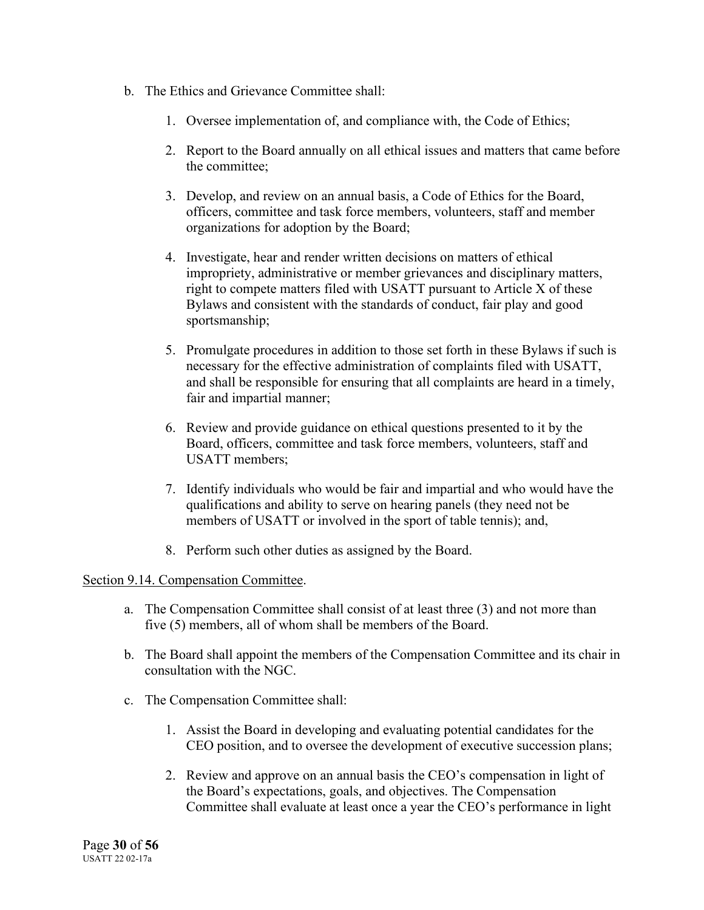- b. The Ethics and Grievance Committee shall:
	- 1. Oversee implementation of, and compliance with, the Code of Ethics;
	- 2. Report to the Board annually on all ethical issues and matters that came before the committee;
	- 3. Develop, and review on an annual basis, a Code of Ethics for the Board, officers, committee and task force members, volunteers, staff and member organizations for adoption by the Board;
	- 4. Investigate, hear and render written decisions on matters of ethical impropriety, administrative or member grievances and disciplinary matters, right to compete matters filed with USATT pursuant to Article X of these Bylaws and consistent with the standards of conduct, fair play and good sportsmanship;
	- 5. Promulgate procedures in addition to those set forth in these Bylaws if such is necessary for the effective administration of complaints filed with USATT, and shall be responsible for ensuring that all complaints are heard in a timely, fair and impartial manner;
	- 6. Review and provide guidance on ethical questions presented to it by the Board, officers, committee and task force members, volunteers, staff and USATT members;
	- 7. Identify individuals who would be fair and impartial and who would have the qualifications and ability to serve on hearing panels (they need not be members of USATT or involved in the sport of table tennis); and,
	- 8. Perform such other duties as assigned by the Board.

#### Section 9.14. Compensation Committee.

- a. The Compensation Committee shall consist of at least three (3) and not more than five (5) members, all of whom shall be members of the Board.
- b. The Board shall appoint the members of the Compensation Committee and its chair in consultation with the NGC.
- c. The Compensation Committee shall:
	- 1. Assist the Board in developing and evaluating potential candidates for the CEO position, and to oversee the development of executive succession plans;
	- 2. Review and approve on an annual basis the CEO's compensation in light of the Board's expectations, goals, and objectives. The Compensation Committee shall evaluate at least once a year the CEO's performance in light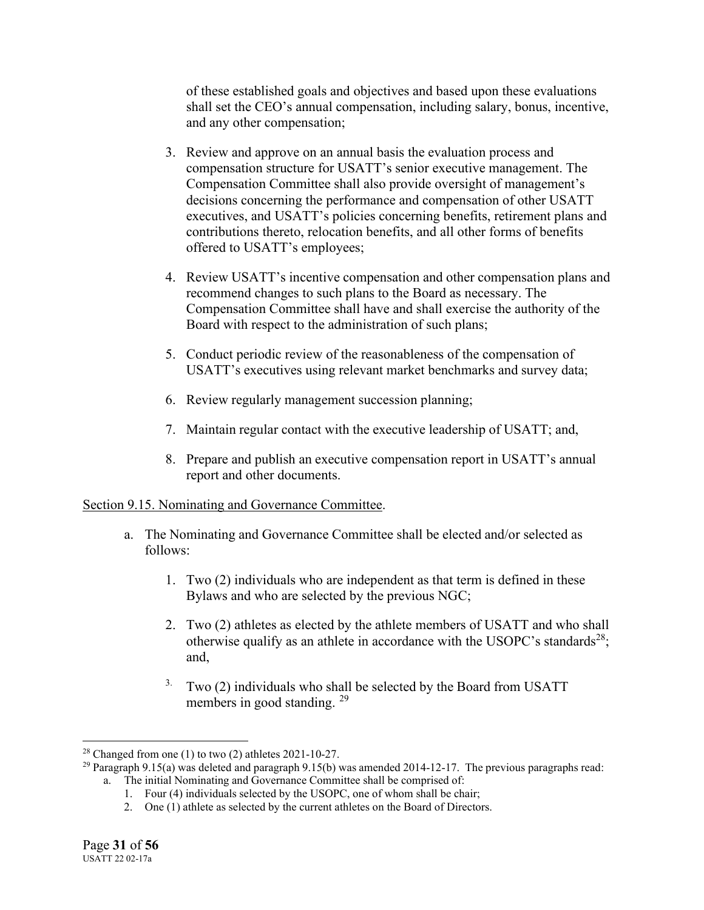of these established goals and objectives and based upon these evaluations shall set the CEO's annual compensation, including salary, bonus, incentive, and any other compensation;

- 3. Review and approve on an annual basis the evaluation process and compensation structure for USATT's senior executive management. The Compensation Committee shall also provide oversight of management's decisions concerning the performance and compensation of other USATT executives, and USATT's policies concerning benefits, retirement plans and contributions thereto, relocation benefits, and all other forms of benefits offered to USATT's employees;
- 4. Review USATT's incentive compensation and other compensation plans and recommend changes to such plans to the Board as necessary. The Compensation Committee shall have and shall exercise the authority of the Board with respect to the administration of such plans;
- 5. Conduct periodic review of the reasonableness of the compensation of USATT's executives using relevant market benchmarks and survey data;
- 6. Review regularly management succession planning;
- 7. Maintain regular contact with the executive leadership of USATT; and,
- 8. Prepare and publish an executive compensation report in USATT's annual report and other documents.

# Section 9.15. Nominating and Governance Committee.

- a. The Nominating and Governance Committee shall be elected and/or selected as follows:
	- 1. Two (2) individuals who are independent as that term is defined in these Bylaws and who are selected by the previous NGC;
	- 2. Two (2) athletes as elected by the athlete members of USATT and who shall otherwise qualify as an athlete in accordance with the USOPC's standards<sup>28</sup>; and,
	- <sup>3.</sup> Two (2) individuals who shall be selected by the Board from USATT members in good standing. <sup>29</sup>

<sup>&</sup>lt;sup>28</sup> Changed from one (1) to two (2) athletes  $2021-10-27$ .

<sup>&</sup>lt;sup>29</sup> Paragraph 9.15(a) was deleted and paragraph 9.15(b) was amended 2014-12-17. The previous paragraphs read: a. The initial Nominating and Governance Committee shall be comprised of:

<sup>1.</sup> Four (4) individuals selected by the USOPC, one of whom shall be chair;

<sup>2.</sup> One (1) athlete as selected by the current athletes on the Board of Directors.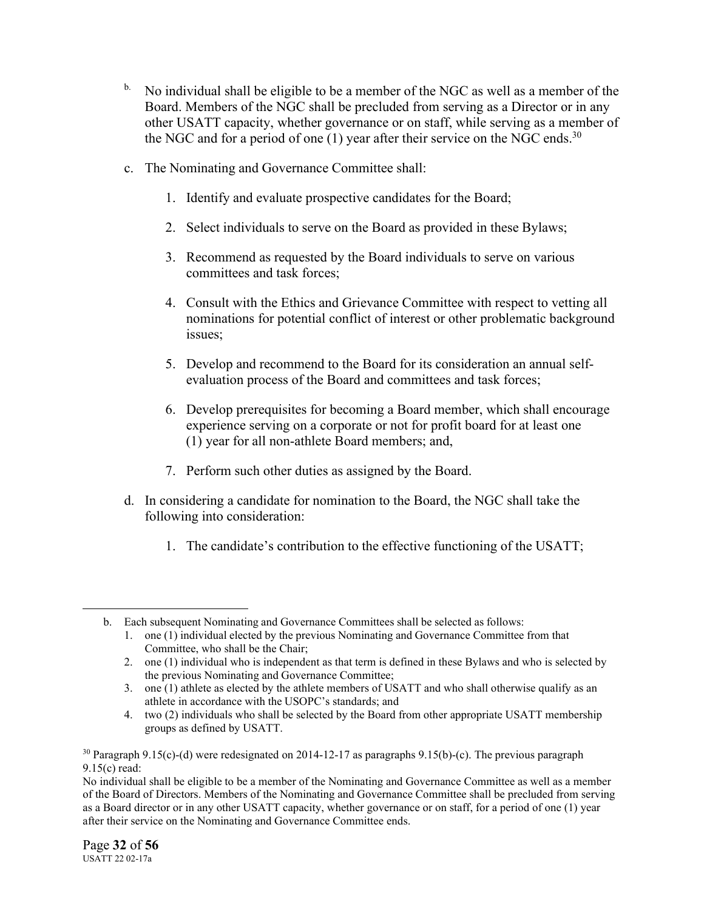- <sup>b.</sup> No individual shall be eligible to be a member of the NGC as well as a member of the Board. Members of the NGC shall be precluded from serving as a Director or in any other USATT capacity, whether governance or on staff, while serving as a member of the NGC and for a period of one  $(1)$  year after their service on the NGC ends.<sup>30</sup>
- c. The Nominating and Governance Committee shall:
	- 1. Identify and evaluate prospective candidates for the Board;
	- 2. Select individuals to serve on the Board as provided in these Bylaws;
	- 3. Recommend as requested by the Board individuals to serve on various committees and task forces;
	- 4. Consult with the Ethics and Grievance Committee with respect to vetting all nominations for potential conflict of interest or other problematic background issues;
	- 5. Develop and recommend to the Board for its consideration an annual selfevaluation process of the Board and committees and task forces;
	- 6. Develop prerequisites for becoming a Board member, which shall encourage experience serving on a corporate or not for profit board for at least one (1) year for all non-athlete Board members; and,
	- 7. Perform such other duties as assigned by the Board.
- d. In considering a candidate for nomination to the Board, the NGC shall take the following into consideration:
	- 1. The candidate's contribution to the effective functioning of the USATT;

b. Each subsequent Nominating and Governance Committees shall be selected as follows:

<sup>1.</sup> one (1) individual elected by the previous Nominating and Governance Committee from that Committee, who shall be the Chair;

<sup>2.</sup> one (1) individual who is independent as that term is defined in these Bylaws and who is selected by the previous Nominating and Governance Committee;

<sup>3.</sup> one (1) athlete as elected by the athlete members of USATT and who shall otherwise qualify as an athlete in accordance with the USOPC's standards; and

<sup>4.</sup> two (2) individuals who shall be selected by the Board from other appropriate USATT membership groups as defined by USATT.

<sup>&</sup>lt;sup>30</sup> Paragraph 9.15(c)-(d) were redesignated on 2014-12-17 as paragraphs 9.15(b)-(c). The previous paragraph 9.15(c) read:

No individual shall be eligible to be a member of the Nominating and Governance Committee as well as a member of the Board of Directors. Members of the Nominating and Governance Committee shall be precluded from serving as a Board director or in any other USATT capacity, whether governance or on staff, for a period of one (1) year after their service on the Nominating and Governance Committee ends.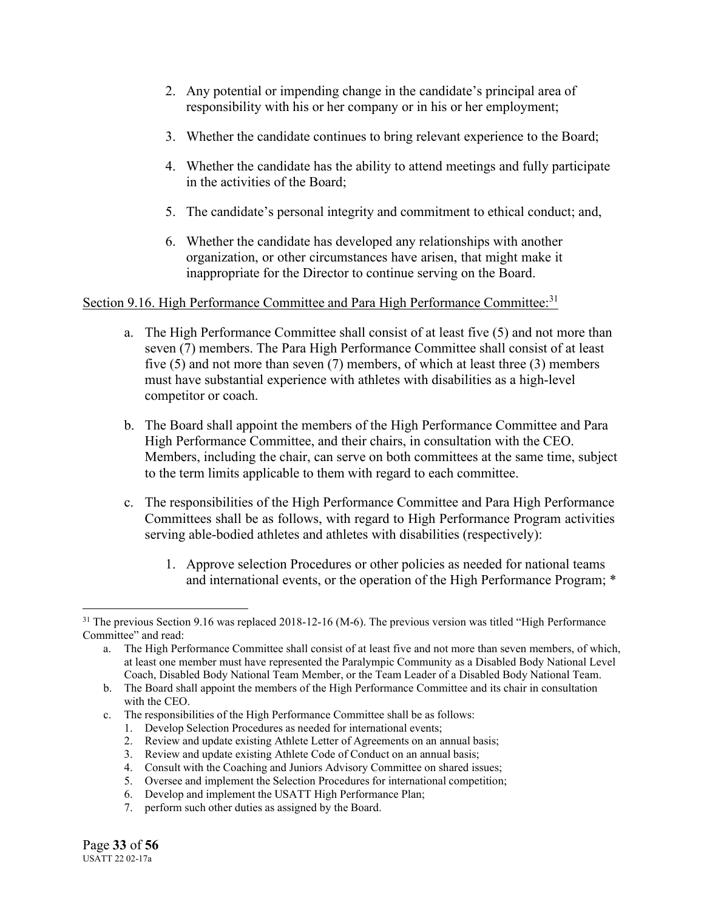- 2. Any potential or impending change in the candidate's principal area of responsibility with his or her company or in his or her employment;
- 3. Whether the candidate continues to bring relevant experience to the Board;
- 4. Whether the candidate has the ability to attend meetings and fully participate in the activities of the Board;
- 5. The candidate's personal integrity and commitment to ethical conduct; and,
- 6. Whether the candidate has developed any relationships with another organization, or other circumstances have arisen, that might make it inappropriate for the Director to continue serving on the Board.

# Section 9.16. High Performance Committee and Para High Performance Committee:<sup>31</sup>

- a. The High Performance Committee shall consist of at least five (5) and not more than seven (7) members. The Para High Performance Committee shall consist of at least five (5) and not more than seven (7) members, of which at least three (3) members must have substantial experience with athletes with disabilities as a high-level competitor or coach.
- b. The Board shall appoint the members of the High Performance Committee and Para High Performance Committee, and their chairs, in consultation with the CEO. Members, including the chair, can serve on both committees at the same time, subject to the term limits applicable to them with regard to each committee.
- c. The responsibilities of the High Performance Committee and Para High Performance Committees shall be as follows, with regard to High Performance Program activities serving able-bodied athletes and athletes with disabilities (respectively):
	- 1. Approve selection Procedures or other policies as needed for national teams and international events, or the operation of the High Performance Program; \*

- c. The responsibilities of the High Performance Committee shall be as follows:
	- 1. Develop Selection Procedures as needed for international events;
	- 2. Review and update existing Athlete Letter of Agreements on an annual basis;
	- 3. Review and update existing Athlete Code of Conduct on an annual basis;
	- 4. Consult with the Coaching and Juniors Advisory Committee on shared issues;
	- 5. Oversee and implement the Selection Procedures for international competition;
	- 6. Develop and implement the USATT High Performance Plan;
	- 7. perform such other duties as assigned by the Board.

<sup>&</sup>lt;sup>31</sup> The previous Section 9.16 was replaced 2018-12-16 (M-6). The previous version was titled "High Performance" Committee" and read:

a. The High Performance Committee shall consist of at least five and not more than seven members, of which, at least one member must have represented the Paralympic Community as a Disabled Body National Level Coach, Disabled Body National Team Member, or the Team Leader of a Disabled Body National Team.

b. The Board shall appoint the members of the High Performance Committee and its chair in consultation with the CEO.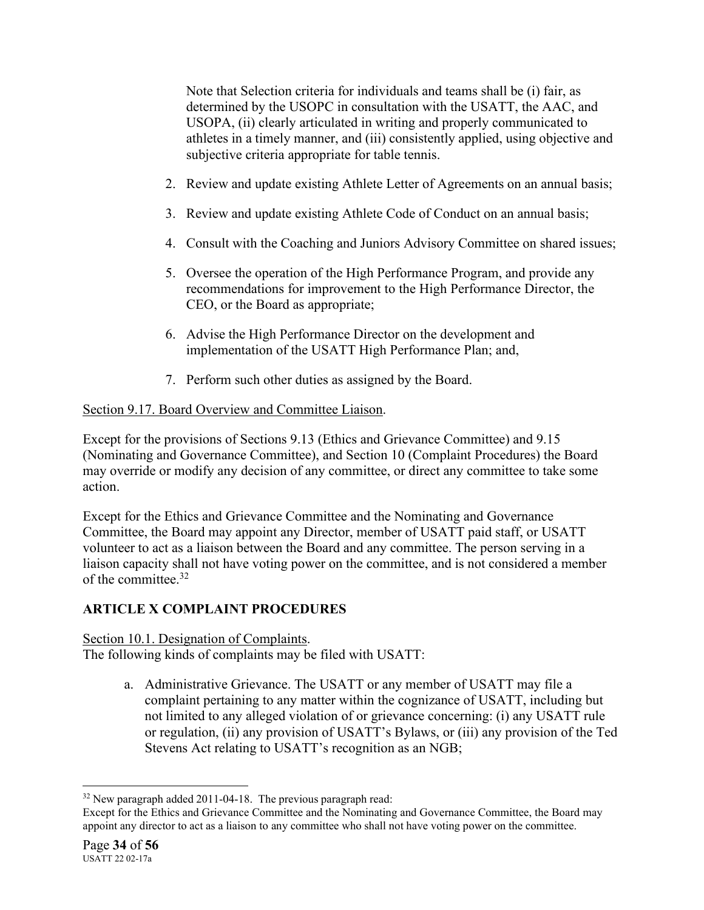Note that Selection criteria for individuals and teams shall be (i) fair, as determined by the USOPC in consultation with the USATT, the AAC, and USOPA, (ii) clearly articulated in writing and properly communicated to athletes in a timely manner, and (iii) consistently applied, using objective and subjective criteria appropriate for table tennis.

- 2. Review and update existing Athlete Letter of Agreements on an annual basis;
- 3. Review and update existing Athlete Code of Conduct on an annual basis;
- 4. Consult with the Coaching and Juniors Advisory Committee on shared issues;
- 5. Oversee the operation of the High Performance Program, and provide any recommendations for improvement to the High Performance Director, the CEO, or the Board as appropriate;
- 6. Advise the High Performance Director on the development and implementation of the USATT High Performance Plan; and,
- 7. Perform such other duties as assigned by the Board.

# Section 9.17. Board Overview and Committee Liaison.

Except for the provisions of Sections 9.13 (Ethics and Grievance Committee) and 9.15 (Nominating and Governance Committee), and Section 10 (Complaint Procedures) the Board may override or modify any decision of any committee, or direct any committee to take some action.

Except for the Ethics and Grievance Committee and the Nominating and Governance Committee, the Board may appoint any Director, member of USATT paid staff, or USATT volunteer to act as a liaison between the Board and any committee. The person serving in a liaison capacity shall not have voting power on the committee, and is not considered a member of the committee.<sup>32</sup>

# **ARTICLE X COMPLAINT PROCEDURES**

Section 10.1. Designation of Complaints. The following kinds of complaints may be filed with USATT:

> a. Administrative Grievance. The USATT or any member of USATT may file a complaint pertaining to any matter within the cognizance of USATT, including but not limited to any alleged violation of or grievance concerning: (i) any USATT rule or regulation, (ii) any provision of USATT's Bylaws, or (iii) any provision of the Ted Stevens Act relating to USATT's recognition as an NGB;

<sup>&</sup>lt;sup>32</sup> New paragraph added 2011-04-18. The previous paragraph read:

Except for the Ethics and Grievance Committee and the Nominating and Governance Committee, the Board may appoint any director to act as a liaison to any committee who shall not have voting power on the committee.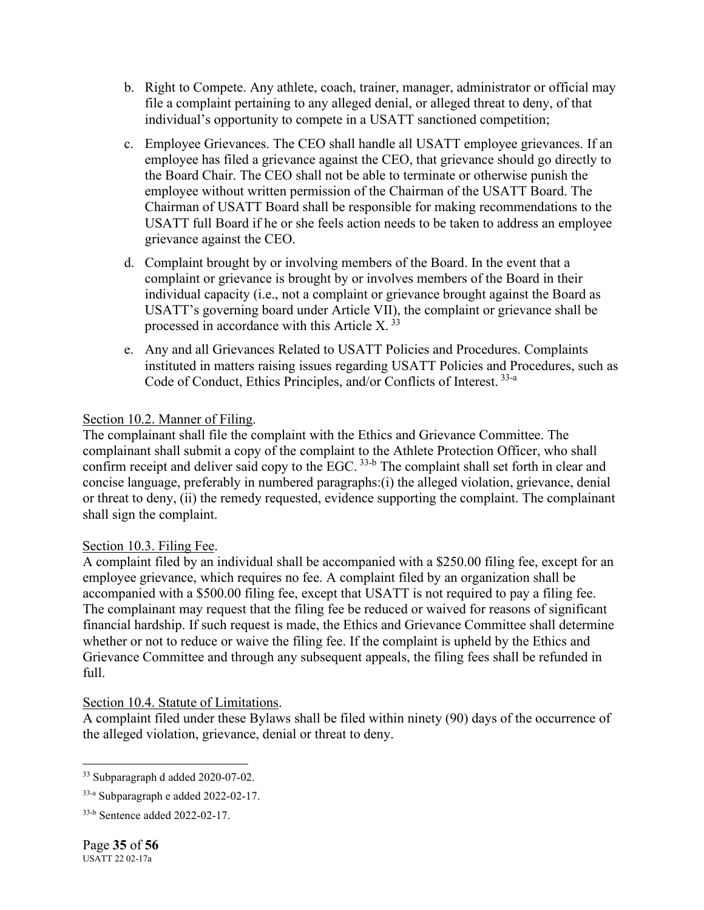- b. Right to Compete. Any athlete, coach, trainer, manager, administrator or official may file a complaint pertaining to any alleged denial, or alleged threat to deny, of that individual's opportunity to compete in a USATT sanctioned competition;
- c. Employee Grievances. The CEO shall handle all USATT employee grievances. If an employee has filed a grievance against the CEO, that grievance should go directly to the Board Chair. The CEO shall not be able to terminate or otherwise punish the employee without written permission of the Chairman of the USATT Board. The Chairman of USATT Board shall be responsible for making recommendations to the USATT full Board if he or she feels action needs to be taken to address an employee grievance against the CEO.
- d. Complaint brought by or involving members of the Board. In the event that a complaint or grievance is brought by or involves members of the Board in their individual capacity (i.e., not a complaint or grievance brought against the Board as USATT's governing board under Article VII), the complaint or grievance shall be processed in accordance with this Article  $X^{\,33}$
- e. Any and all Grievances Related to USATT Policies and Procedures. Complaints instituted in matters raising issues regarding USATT Policies and Procedures, such as Code of Conduct, Ethics Principles, and/or Conflicts of Interest. 33-a

# Section 10.2. Manner of Filing.

The complainant shall file the complaint with the Ethics and Grievance Committee. The complainant shall submit a copy of the complaint to the Athlete Protection Officer, who shall confirm receipt and deliver said copy to the EGC.<sup>33-b</sup> The complaint shall set forth in clear and concise language, preferably in numbered paragraphs:(i) the alleged violation, grievance, denial or threat to deny, (ii) the remedy requested, evidence supporting the complaint. The complainant shall sign the complaint.

# Section 10.3. Filing Fee.

A complaint filed by an individual shall be accompanied with a \$250.00 filing fee, except for an employee grievance, which requires no fee. A complaint filed by an organization shall be accompanied with a \$500.00 filing fee, except that USATT is not required to pay a filing fee. The complainant may request that the filing fee be reduced or waived for reasons of significant financial hardship. If such request is made, the Ethics and Grievance Committee shall determine whether or not to reduce or waive the filing fee. If the complaint is upheld by the Ethics and Grievance Committee and through any subsequent appeals, the filing fees shall be refunded in full.

# Section 10.4. Statute of Limitations.

A complaint filed under these Bylaws shall be filed within ninety (90) days of the occurrence of the alleged violation, grievance, denial or threat to deny.

<sup>33</sup> Subparagraph d added 2020-07-02.

<sup>33-</sup>a Subparagraph e added 2022-02-17.

<sup>33-</sup>b Sentence added 2022-02-17.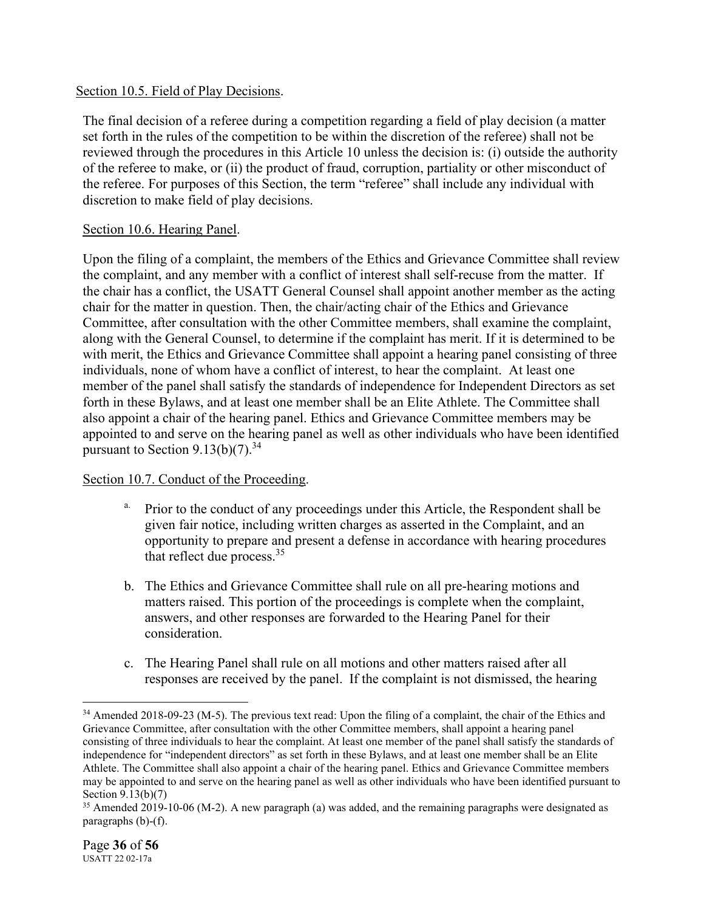### Section 10.5. Field of Play Decisions.

The final decision of a referee during a competition regarding a field of play decision (a matter set forth in the rules of the competition to be within the discretion of the referee) shall not be reviewed through the procedures in this Article 10 unless the decision is: (i) outside the authority of the referee to make, or (ii) the product of fraud, corruption, partiality or other misconduct of the referee. For purposes of this Section, the term "referee" shall include any individual with discretion to make field of play decisions.

### Section 10.6. Hearing Panel.

Upon the filing of a complaint, the members of the Ethics and Grievance Committee shall review the complaint, and any member with a conflict of interest shall self-recuse from the matter. If the chair has a conflict, the USATT General Counsel shall appoint another member as the acting chair for the matter in question. Then, the chair/acting chair of the Ethics and Grievance Committee, after consultation with the other Committee members, shall examine the complaint, along with the General Counsel, to determine if the complaint has merit. If it is determined to be with merit, the Ethics and Grievance Committee shall appoint a hearing panel consisting of three individuals, none of whom have a conflict of interest, to hear the complaint. At least one member of the panel shall satisfy the standards of independence for Independent Directors as set forth in these Bylaws, and at least one member shall be an Elite Athlete. The Committee shall also appoint a chair of the hearing panel. Ethics and Grievance Committee members may be appointed to and serve on the hearing panel as well as other individuals who have been identified pursuant to Section  $9.13(b)(7)$ .<sup>34</sup>

#### Section 10.7. Conduct of the Proceeding.

- <sup>a.</sup> Prior to the conduct of any proceedings under this Article, the Respondent shall be given fair notice, including written charges as asserted in the Complaint, and an opportunity to prepare and present a defense in accordance with hearing procedures that reflect due process.<sup>35</sup>
- b. The Ethics and Grievance Committee shall rule on all pre-hearing motions and matters raised. This portion of the proceedings is complete when the complaint, answers, and other responses are forwarded to the Hearing Panel for their consideration.
- c. The Hearing Panel shall rule on all motions and other matters raised after all responses are received by the panel. If the complaint is not dismissed, the hearing

<sup>&</sup>lt;sup>34</sup> Amended 2018-09-23 (M-5). The previous text read: Upon the filing of a complaint, the chair of the Ethics and Grievance Committee, after consultation with the other Committee members, shall appoint a hearing panel consisting of three individuals to hear the complaint. At least one member of the panel shall satisfy the standards of independence for "independent directors" as set forth in these Bylaws, and at least one member shall be an Elite Athlete. The Committee shall also appoint a chair of the hearing panel. Ethics and Grievance Committee members may be appointed to and serve on the hearing panel as well as other individuals who have been identified pursuant to Section 9.13(b)(7)

<sup>&</sup>lt;sup>35</sup> Amended 2019-10-06 (M-2). A new paragraph (a) was added, and the remaining paragraphs were designated as paragraphs (b)-(f).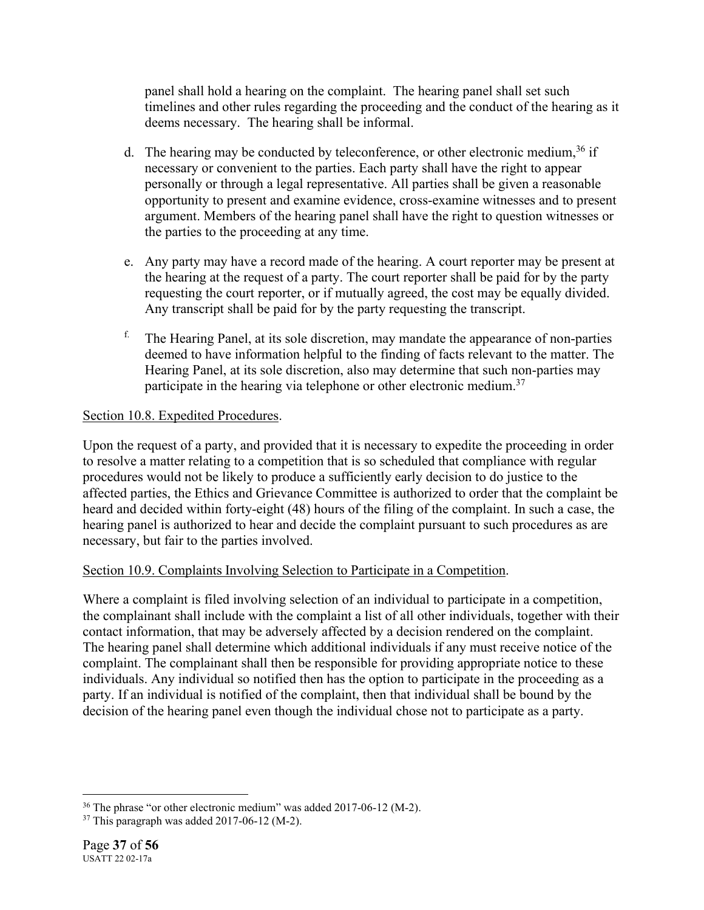panel shall hold a hearing on the complaint. The hearing panel shall set such timelines and other rules regarding the proceeding and the conduct of the hearing as it deems necessary. The hearing shall be informal.

- d. The hearing may be conducted by teleconference, or other electronic medium,<sup>36</sup> if necessary or convenient to the parties. Each party shall have the right to appear personally or through a legal representative. All parties shall be given a reasonable opportunity to present and examine evidence, cross-examine witnesses and to present argument. Members of the hearing panel shall have the right to question witnesses or the parties to the proceeding at any time.
- e. Any party may have a record made of the hearing. A court reporter may be present at the hearing at the request of a party. The court reporter shall be paid for by the party requesting the court reporter, or if mutually agreed, the cost may be equally divided. Any transcript shall be paid for by the party requesting the transcript.
- $<sup>f.</sup>$  The Hearing Panel, at its sole discretion, may mandate the appearance of non-parties</sup> deemed to have information helpful to the finding of facts relevant to the matter. The Hearing Panel, at its sole discretion, also may determine that such non-parties may participate in the hearing via telephone or other electronic medium.<sup>37</sup>

# Section 10.8. Expedited Procedures.

Upon the request of a party, and provided that it is necessary to expedite the proceeding in order to resolve a matter relating to a competition that is so scheduled that compliance with regular procedures would not be likely to produce a sufficiently early decision to do justice to the affected parties, the Ethics and Grievance Committee is authorized to order that the complaint be heard and decided within forty-eight (48) hours of the filing of the complaint. In such a case, the hearing panel is authorized to hear and decide the complaint pursuant to such procedures as are necessary, but fair to the parties involved.

# Section 10.9. Complaints Involving Selection to Participate in a Competition.

Where a complaint is filed involving selection of an individual to participate in a competition, the complainant shall include with the complaint a list of all other individuals, together with their contact information, that may be adversely affected by a decision rendered on the complaint. The hearing panel shall determine which additional individuals if any must receive notice of the complaint. The complainant shall then be responsible for providing appropriate notice to these individuals. Any individual so notified then has the option to participate in the proceeding as a party. If an individual is notified of the complaint, then that individual shall be bound by the decision of the hearing panel even though the individual chose not to participate as a party.

<sup>36</sup> The phrase "or other electronic medium" was added 2017-06-12 (M-2).

 $37$  This paragraph was added 2017-06-12 (M-2).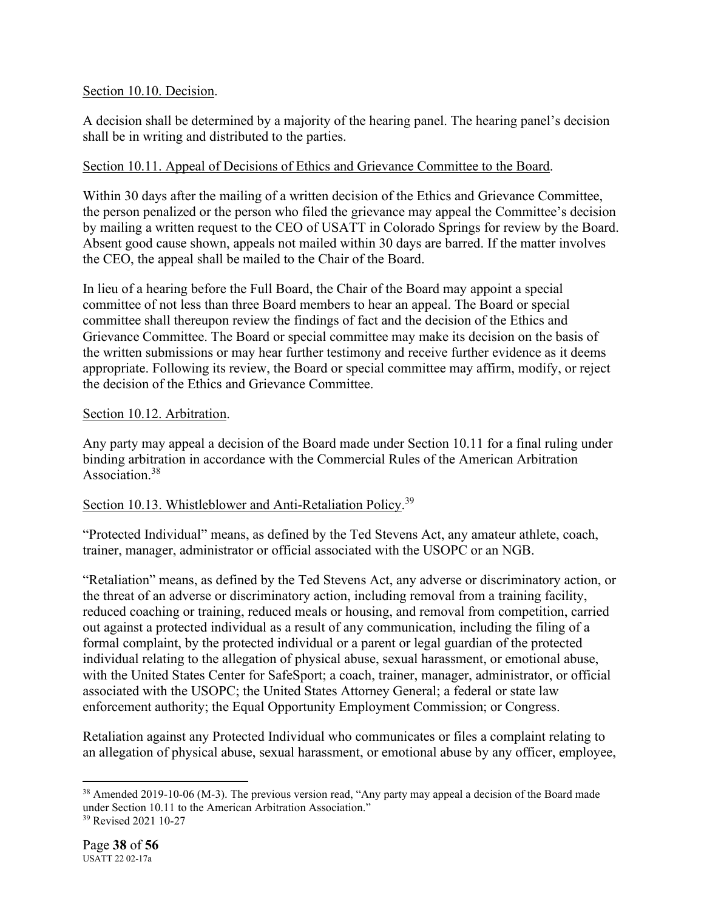# Section 10.10. Decision.

A decision shall be determined by a majority of the hearing panel. The hearing panel's decision shall be in writing and distributed to the parties.

# Section 10.11. Appeal of Decisions of Ethics and Grievance Committee to the Board.

Within 30 days after the mailing of a written decision of the Ethics and Grievance Committee, the person penalized or the person who filed the grievance may appeal the Committee's decision by mailing a written request to the CEO of USATT in Colorado Springs for review by the Board. Absent good cause shown, appeals not mailed within 30 days are barred. If the matter involves the CEO, the appeal shall be mailed to the Chair of the Board.

In lieu of a hearing before the Full Board, the Chair of the Board may appoint a special committee of not less than three Board members to hear an appeal. The Board or special committee shall thereupon review the findings of fact and the decision of the Ethics and Grievance Committee. The Board or special committee may make its decision on the basis of the written submissions or may hear further testimony and receive further evidence as it deems appropriate. Following its review, the Board or special committee may affirm, modify, or reject the decision of the Ethics and Grievance Committee.

# Section 10.12. Arbitration.

Any party may appeal a decision of the Board made under Section 10.11 for a final ruling under binding arbitration in accordance with the Commercial Rules of the American Arbitration Association.<sup>38</sup>

# Section 10.13. Whistleblower and Anti-Retaliation Policy.<sup>39</sup>

"Protected Individual" means, as defined by the Ted Stevens Act, any amateur athlete, coach, trainer, manager, administrator or official associated with the USOPC or an NGB.

"Retaliation" means, as defined by the Ted Stevens Act, any adverse or discriminatory action, or the threat of an adverse or discriminatory action, including removal from a training facility, reduced coaching or training, reduced meals or housing, and removal from competition, carried out against a protected individual as a result of any communication, including the filing of a formal complaint, by the protected individual or a parent or legal guardian of the protected individual relating to the allegation of physical abuse, sexual harassment, or emotional abuse, with the United States Center for SafeSport; a coach, trainer, manager, administrator, or official associated with the USOPC; the United States Attorney General; a federal or state law enforcement authority; the Equal Opportunity Employment Commission; or Congress.

Retaliation against any Protected Individual who communicates or files a complaint relating to an allegation of physical abuse, sexual harassment, or emotional abuse by any officer, employee,

<sup>&</sup>lt;sup>38</sup> Amended 2019-10-06 (M-3). The previous version read, "Any party may appeal a decision of the Board made under Section 10.11 to the American Arbitration Association."

<sup>39</sup> Revised 2021 10-27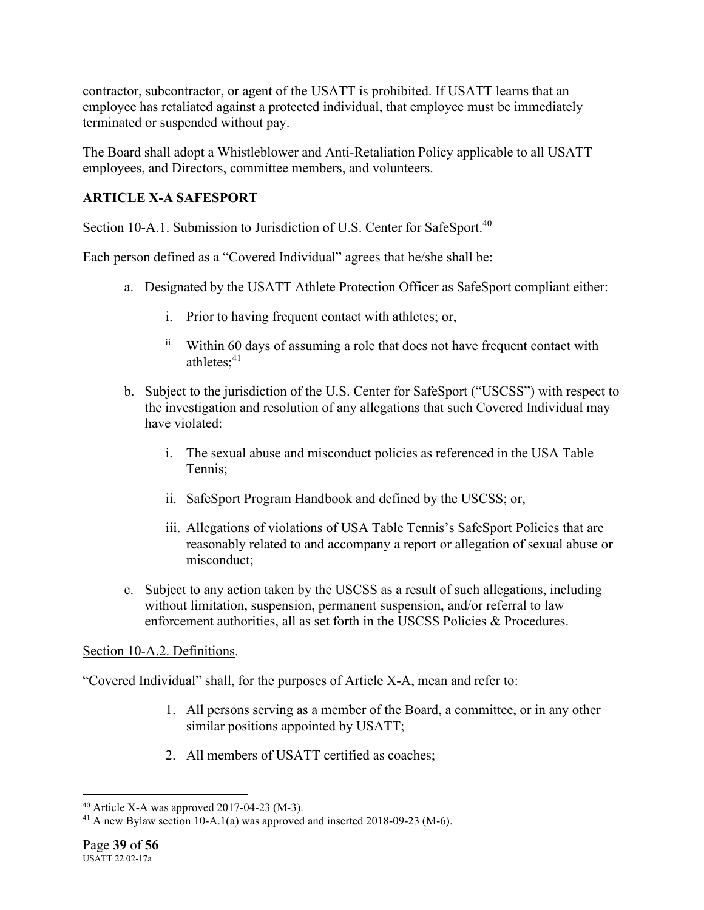contractor, subcontractor, or agent of the USATT is prohibited. If USATT learns that an employee has retaliated against a protected individual, that employee must be immediately terminated or suspended without pay.

The Board shall adopt a Whistleblower and Anti-Retaliation Policy applicable to all USATT employees, and Directors, committee members, and volunteers.

# **ARTICLE X-A SAFESPORT**

Section 10-A.1. Submission to Jurisdiction of U.S. Center for SafeSport.<sup>40</sup>

Each person defined as a "Covered Individual" agrees that he/she shall be:

- a. Designated by the USATT Athlete Protection Officer as SafeSport compliant either:
	- i. Prior to having frequent contact with athletes; or,
	- ii. Within 60 days of assuming a role that does not have frequent contact with athletes: $41$
- b. Subject to the jurisdiction of the U.S. Center for SafeSport ("USCSS") with respect to the investigation and resolution of any allegations that such Covered Individual may have violated:
	- i. The sexual abuse and misconduct policies as referenced in the USA Table Tennis;
	- ii. SafeSport Program Handbook and defined by the USCSS; or,
	- iii. Allegations of violations of USA Table Tennis's SafeSport Policies that are reasonably related to and accompany a report or allegation of sexual abuse or misconduct;
- c. Subject to any action taken by the USCSS as a result of such allegations, including without limitation, suspension, permanent suspension, and/or referral to law enforcement authorities, all as set forth in the USCSS Policies & Procedures.

# Section 10-A.2. Definitions.

"Covered Individual" shall, for the purposes of Article X-A, mean and refer to:

- 1. All persons serving as a member of the Board, a committee, or in any other similar positions appointed by USATT;
- 2. All members of USATT certified as coaches;

<sup>40</sup> Article X-A was approved 2017-04-23 (M-3).

<sup>&</sup>lt;sup>41</sup> A new Bylaw section 10-A.1(a) was approved and inserted 2018-09-23 (M-6).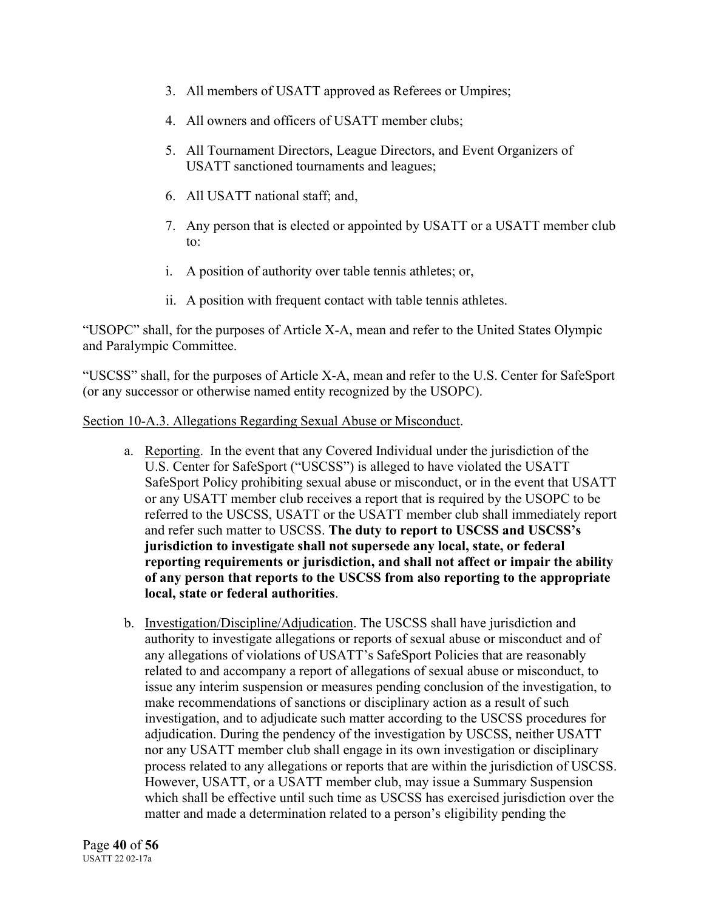- 3. All members of USATT approved as Referees or Umpires;
- 4. All owners and officers of USATT member clubs;
- 5. All Tournament Directors, League Directors, and Event Organizers of USATT sanctioned tournaments and leagues;
- 6. All USATT national staff; and,
- 7. Any person that is elected or appointed by USATT or a USATT member club to:
- i. A position of authority over table tennis athletes; or,
- ii. A position with frequent contact with table tennis athletes.

"USOPC" shall, for the purposes of Article X-A, mean and refer to the United States Olympic and Paralympic Committee.

"USCSS" shall, for the purposes of Article X-A, mean and refer to the U.S. Center for SafeSport (or any successor or otherwise named entity recognized by the USOPC).

#### Section 10-A.3. Allegations Regarding Sexual Abuse or Misconduct.

- a. Reporting. In the event that any Covered Individual under the jurisdiction of the U.S. Center for SafeSport ("USCSS") is alleged to have violated the USATT SafeSport Policy prohibiting sexual abuse or misconduct, or in the event that USATT or any USATT member club receives a report that is required by the USOPC to be referred to the USCSS, USATT or the USATT member club shall immediately report and refer such matter to USCSS. **The duty to report to USCSS and USCSS's jurisdiction to investigate shall not supersede any local, state, or federal reporting requirements or jurisdiction, and shall not affect or impair the ability of any person that reports to the USCSS from also reporting to the appropriate local, state or federal authorities**.
- b. Investigation/Discipline/Adjudication. The USCSS shall have jurisdiction and authority to investigate allegations or reports of sexual abuse or misconduct and of any allegations of violations of USATT's SafeSport Policies that are reasonably related to and accompany a report of allegations of sexual abuse or misconduct, to issue any interim suspension or measures pending conclusion of the investigation, to make recommendations of sanctions or disciplinary action as a result of such investigation, and to adjudicate such matter according to the USCSS procedures for adjudication. During the pendency of the investigation by USCSS, neither USATT nor any USATT member club shall engage in its own investigation or disciplinary process related to any allegations or reports that are within the jurisdiction of USCSS. However, USATT, or a USATT member club, may issue a Summary Suspension which shall be effective until such time as USCSS has exercised jurisdiction over the matter and made a determination related to a person's eligibility pending the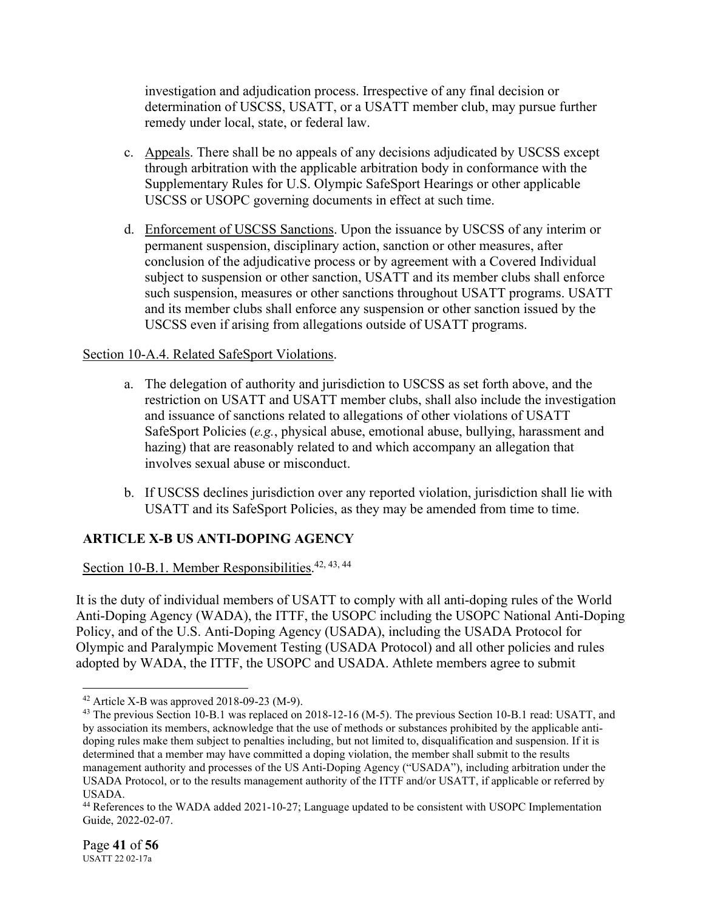investigation and adjudication process. Irrespective of any final decision or determination of USCSS, USATT, or a USATT member club, may pursue further remedy under local, state, or federal law.

- c. Appeals. There shall be no appeals of any decisions adjudicated by USCSS except through arbitration with the applicable arbitration body in conformance with the Supplementary Rules for U.S. Olympic SafeSport Hearings or other applicable USCSS or USOPC governing documents in effect at such time.
- d. Enforcement of USCSS Sanctions. Upon the issuance by USCSS of any interim or permanent suspension, disciplinary action, sanction or other measures, after conclusion of the adjudicative process or by agreement with a Covered Individual subject to suspension or other sanction, USATT and its member clubs shall enforce such suspension, measures or other sanctions throughout USATT programs. USATT and its member clubs shall enforce any suspension or other sanction issued by the USCSS even if arising from allegations outside of USATT programs.

# Section 10-A.4. Related SafeSport Violations.

- a. The delegation of authority and jurisdiction to USCSS as set forth above, and the restriction on USATT and USATT member clubs, shall also include the investigation and issuance of sanctions related to allegations of other violations of USATT SafeSport Policies (*e.g.*, physical abuse, emotional abuse, bullying, harassment and hazing) that are reasonably related to and which accompany an allegation that involves sexual abuse or misconduct.
- b. If USCSS declines jurisdiction over any reported violation, jurisdiction shall lie with USATT and its SafeSport Policies, as they may be amended from time to time.

# **ARTICLE X-B US ANTI-DOPING AGENCY**

Section 10-B.1. Member Responsibilities.<sup>42, 43, 44</sup>

It is the duty of individual members of USATT to comply with all anti-doping rules of the World Anti-Doping Agency (WADA), the ITTF, the USOPC including the USOPC National Anti-Doping Policy, and of the U.S. Anti-Doping Agency (USADA), including the USADA Protocol for Olympic and Paralympic Movement Testing (USADA Protocol) and all other policies and rules adopted by WADA, the ITTF, the USOPC and USADA. Athlete members agree to submit

 $42$  Article X-B was approved 2018-09-23 (M-9).

<sup>&</sup>lt;sup>43</sup> The previous Section 10-B.1 was replaced on 2018-12-16 (M-5). The previous Section 10-B.1 read: USATT, and by association its members, acknowledge that the use of methods or substances prohibited by the applicable antidoping rules make them subject to penalties including, but not limited to, disqualification and suspension. If it is determined that a member may have committed a doping violation, the member shall submit to the results management authority and processes of the US Anti-Doping Agency ("USADA"), including arbitration under the USADA Protocol, or to the results management authority of the ITTF and/or USATT, if applicable or referred by USADA.

<sup>44</sup> References to the WADA added 2021-10-27; Language updated to be consistent with USOPC Implementation Guide, 2022-02-07.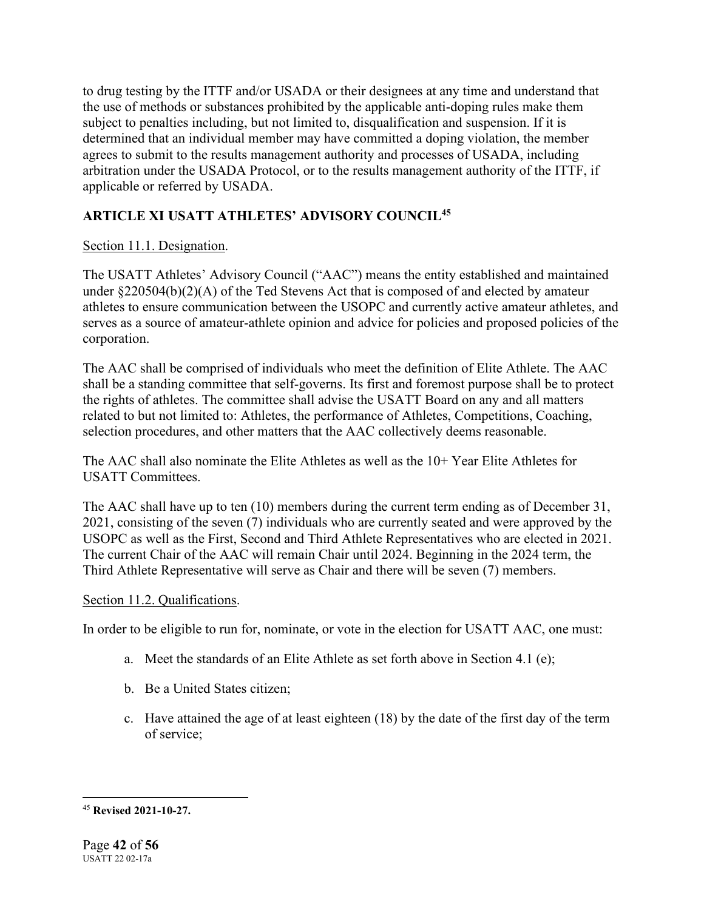to drug testing by the ITTF and/or USADA or their designees at any time and understand that the use of methods or substances prohibited by the applicable anti-doping rules make them subject to penalties including, but not limited to, disqualification and suspension. If it is determined that an individual member may have committed a doping violation, the member agrees to submit to the results management authority and processes of USADA, including arbitration under the USADA Protocol, or to the results management authority of the ITTF, if applicable or referred by USADA.

# **ARTICLE XI USATT ATHLETES' ADVISORY COUNCIL45**

# Section 11.1. Designation.

The USATT Athletes' Advisory Council ("AAC") means the entity established and maintained under §220504(b)(2)(A) of the Ted Stevens Act that is composed of and elected by amateur athletes to ensure communication between the USOPC and currently active amateur athletes, and serves as a source of amateur-athlete opinion and advice for policies and proposed policies of the corporation.

The AAC shall be comprised of individuals who meet the definition of Elite Athlete. The AAC shall be a standing committee that self-governs. Its first and foremost purpose shall be to protect the rights of athletes. The committee shall advise the USATT Board on any and all matters related to but not limited to: Athletes, the performance of Athletes, Competitions, Coaching, selection procedures, and other matters that the AAC collectively deems reasonable.

The AAC shall also nominate the Elite Athletes as well as the 10+ Year Elite Athletes for USATT Committees.

The AAC shall have up to ten (10) members during the current term ending as of December 31, 2021, consisting of the seven (7) individuals who are currently seated and were approved by the USOPC as well as the First, Second and Third Athlete Representatives who are elected in 2021. The current Chair of the AAC will remain Chair until 2024. Beginning in the 2024 term, the Third Athlete Representative will serve as Chair and there will be seven (7) members.

# Section 11.2. Qualifications.

In order to be eligible to run for, nominate, or vote in the election for USATT AAC, one must:

- a. Meet the standards of an Elite Athlete as set forth above in Section 4.1 (e);
- b. Be a United States citizen;
- c. Have attained the age of at least eighteen (18) by the date of the first day of the term of service;

<sup>45</sup> **Revised 2021-10-27.**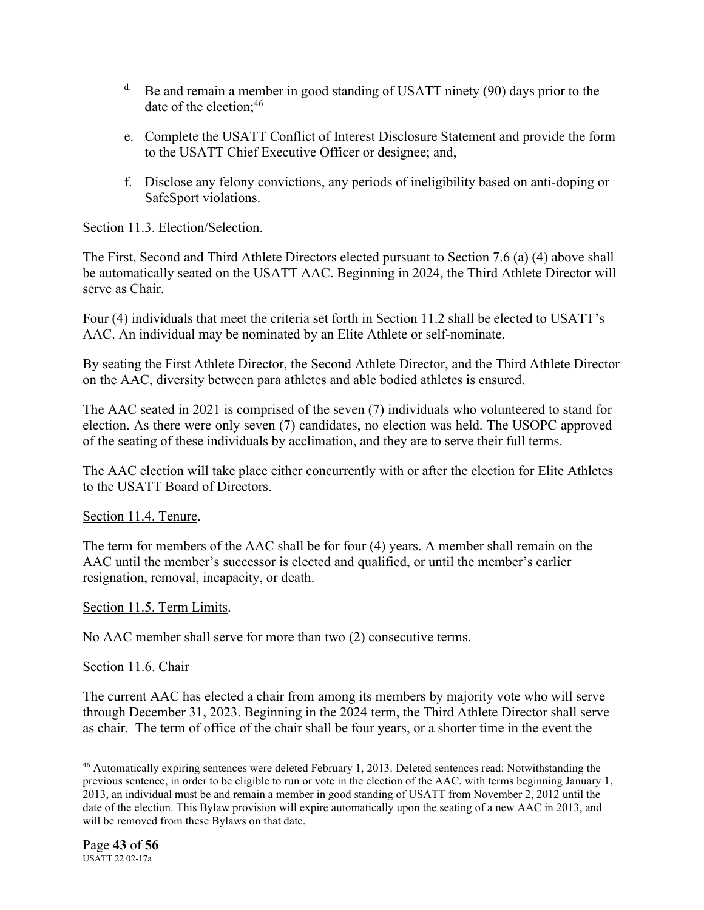- $d$ . Be and remain a member in good standing of USATT ninety (90) days prior to the date of the election:  $46$
- e. Complete the USATT Conflict of Interest Disclosure Statement and provide the form to the USATT Chief Executive Officer or designee; and,
- f. Disclose any felony convictions, any periods of ineligibility based on anti-doping or SafeSport violations.

# Section 11.3. Election/Selection.

The First, Second and Third Athlete Directors elected pursuant to Section 7.6 (a) (4) above shall be automatically seated on the USATT AAC. Beginning in 2024, the Third Athlete Director will serve as Chair.

Four (4) individuals that meet the criteria set forth in Section 11.2 shall be elected to USATT's AAC. An individual may be nominated by an Elite Athlete or self-nominate.

By seating the First Athlete Director, the Second Athlete Director, and the Third Athlete Director on the AAC, diversity between para athletes and able bodied athletes is ensured.

The AAC seated in 2021 is comprised of the seven (7) individuals who volunteered to stand for election. As there were only seven (7) candidates, no election was held. The USOPC approved of the seating of these individuals by acclimation, and they are to serve their full terms.

The AAC election will take place either concurrently with or after the election for Elite Athletes to the USATT Board of Directors.

# Section 11.4. Tenure.

The term for members of the AAC shall be for four (4) years. A member shall remain on the AAC until the member's successor is elected and qualified, or until the member's earlier resignation, removal, incapacity, or death.

# Section 11.5. Term Limits.

No AAC member shall serve for more than two (2) consecutive terms.

# Section 11.6. Chair

The current AAC has elected a chair from among its members by majority vote who will serve through December 31, 2023. Beginning in the 2024 term, the Third Athlete Director shall serve as chair. The term of office of the chair shall be four years, or a shorter time in the event the

<sup>46</sup> Automatically expiring sentences were deleted February 1, 2013. Deleted sentences read: Notwithstanding the previous sentence, in order to be eligible to run or vote in the election of the AAC, with terms beginning January 1, 2013, an individual must be and remain a member in good standing of USATT from November 2, 2012 until the date of the election. This Bylaw provision will expire automatically upon the seating of a new AAC in 2013, and will be removed from these Bylaws on that date.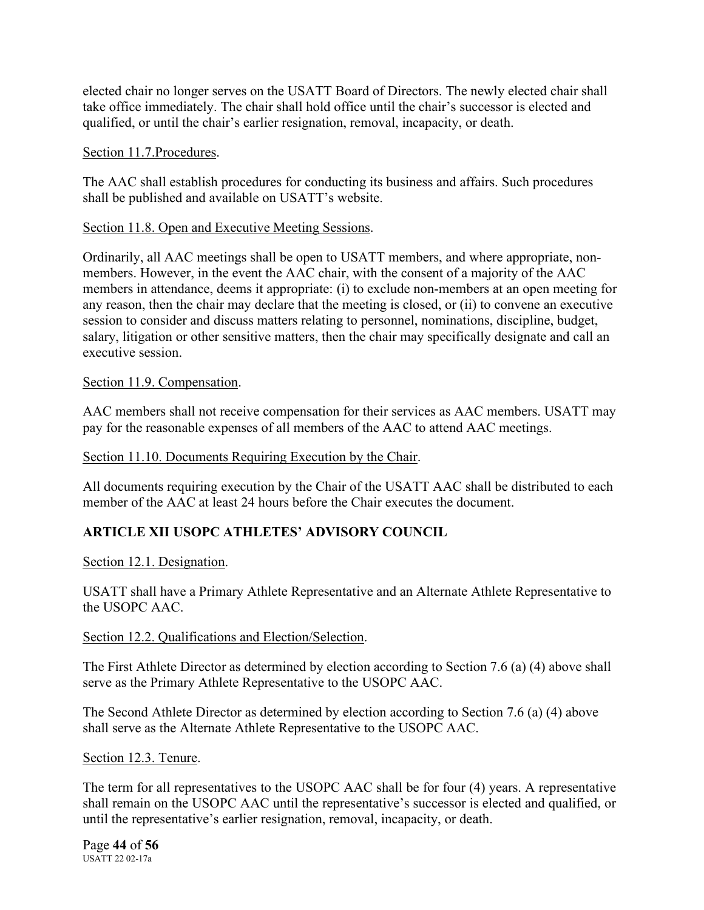elected chair no longer serves on the USATT Board of Directors. The newly elected chair shall take office immediately. The chair shall hold office until the chair's successor is elected and qualified, or until the chair's earlier resignation, removal, incapacity, or death.

### Section 11.7.Procedures.

The AAC shall establish procedures for conducting its business and affairs. Such procedures shall be published and available on USATT's website.

### Section 11.8. Open and Executive Meeting Sessions.

Ordinarily, all AAC meetings shall be open to USATT members, and where appropriate, nonmembers. However, in the event the AAC chair, with the consent of a majority of the AAC members in attendance, deems it appropriate: (i) to exclude non-members at an open meeting for any reason, then the chair may declare that the meeting is closed, or (ii) to convene an executive session to consider and discuss matters relating to personnel, nominations, discipline, budget, salary, litigation or other sensitive matters, then the chair may specifically designate and call an executive session.

### Section 11.9. Compensation.

AAC members shall not receive compensation for their services as AAC members. USATT may pay for the reasonable expenses of all members of the AAC to attend AAC meetings.

### Section 11.10. Documents Requiring Execution by the Chair.

All documents requiring execution by the Chair of the USATT AAC shall be distributed to each member of the AAC at least 24 hours before the Chair executes the document.

# **ARTICLE XII USOPC ATHLETES' ADVISORY COUNCIL**

Section 12.1. Designation.

USATT shall have a Primary Athlete Representative and an Alternate Athlete Representative to the USOPC AAC.

#### Section 12.2. Qualifications and Election/Selection.

The First Athlete Director as determined by election according to Section 7.6 (a) (4) above shall serve as the Primary Athlete Representative to the USOPC AAC.

The Second Athlete Director as determined by election according to Section 7.6 (a) (4) above shall serve as the Alternate Athlete Representative to the USOPC AAC.

#### Section 12.3. Tenure.

The term for all representatives to the USOPC AAC shall be for four (4) years. A representative shall remain on the USOPC AAC until the representative's successor is elected and qualified, or until the representative's earlier resignation, removal, incapacity, or death.

Page **44** of **56** USATT 22 02-17a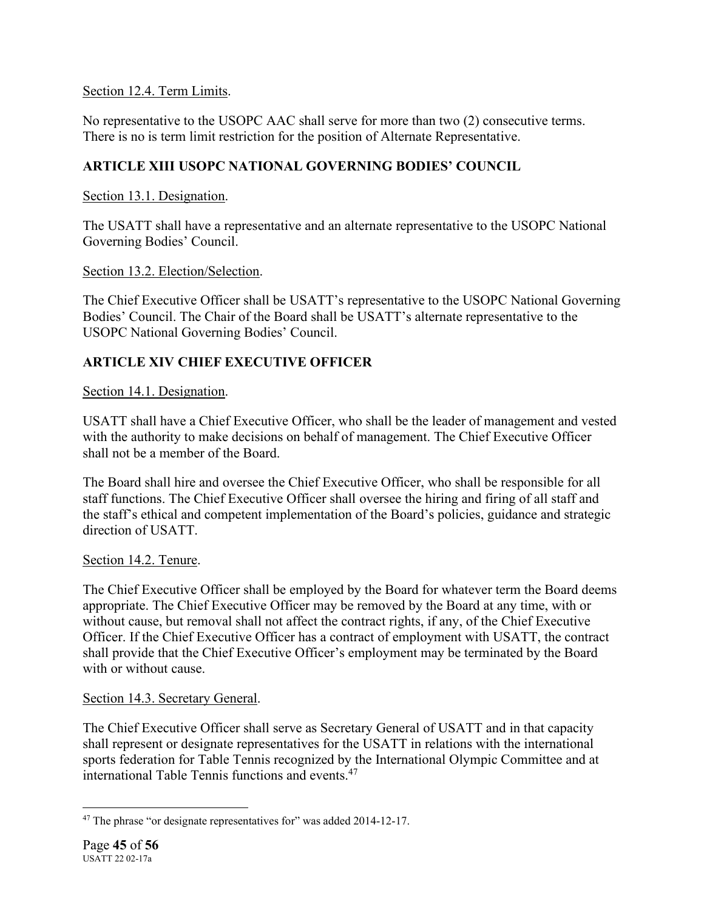Section 12.4. Term Limits.

No representative to the USOPC AAC shall serve for more than two (2) consecutive terms. There is no is term limit restriction for the position of Alternate Representative.

# **ARTICLE XIII USOPC NATIONAL GOVERNING BODIES' COUNCIL**

Section 13.1. Designation.

The USATT shall have a representative and an alternate representative to the USOPC National Governing Bodies' Council.

Section 13.2. Election/Selection.

The Chief Executive Officer shall be USATT's representative to the USOPC National Governing Bodies' Council. The Chair of the Board shall be USATT's alternate representative to the USOPC National Governing Bodies' Council.

# **ARTICLE XIV CHIEF EXECUTIVE OFFICER**

Section 14.1. Designation.

USATT shall have a Chief Executive Officer, who shall be the leader of management and vested with the authority to make decisions on behalf of management. The Chief Executive Officer shall not be a member of the Board.

The Board shall hire and oversee the Chief Executive Officer, who shall be responsible for all staff functions. The Chief Executive Officer shall oversee the hiring and firing of all staff and the staff's ethical and competent implementation of the Board's policies, guidance and strategic direction of USATT.

# Section 14.2. Tenure.

The Chief Executive Officer shall be employed by the Board for whatever term the Board deems appropriate. The Chief Executive Officer may be removed by the Board at any time, with or without cause, but removal shall not affect the contract rights, if any, of the Chief Executive Officer. If the Chief Executive Officer has a contract of employment with USATT, the contract shall provide that the Chief Executive Officer's employment may be terminated by the Board with or without cause.

# Section 14.3. Secretary General.

The Chief Executive Officer shall serve as Secretary General of USATT and in that capacity shall represent or designate representatives for the USATT in relations with the international sports federation for Table Tennis recognized by the International Olympic Committee and at international Table Tennis functions and events.47

<sup>&</sup>lt;sup>47</sup> The phrase "or designate representatives for" was added 2014-12-17.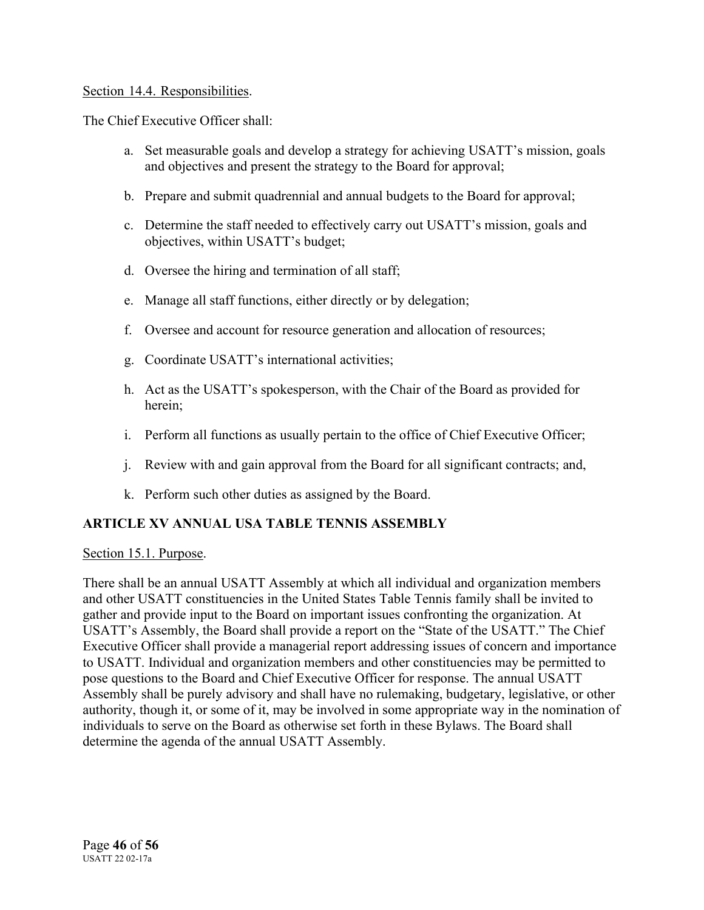### Section 14.4. Responsibilities.

The Chief Executive Officer shall:

- a. Set measurable goals and develop a strategy for achieving USATT's mission, goals and objectives and present the strategy to the Board for approval;
- b. Prepare and submit quadrennial and annual budgets to the Board for approval;
- c. Determine the staff needed to effectively carry out USATT's mission, goals and objectives, within USATT's budget;
- d. Oversee the hiring and termination of all staff;
- e. Manage all staff functions, either directly or by delegation;
- f. Oversee and account for resource generation and allocation of resources;
- g. Coordinate USATT's international activities;
- h. Act as the USATT's spokesperson, with the Chair of the Board as provided for herein;
- i. Perform all functions as usually pertain to the office of Chief Executive Officer;
- j. Review with and gain approval from the Board for all significant contracts; and,
- k. Perform such other duties as assigned by the Board.

# **ARTICLE XV ANNUAL USA TABLE TENNIS ASSEMBLY**

Section 15.1. Purpose.

There shall be an annual USATT Assembly at which all individual and organization members and other USATT constituencies in the United States Table Tennis family shall be invited to gather and provide input to the Board on important issues confronting the organization. At USATT's Assembly, the Board shall provide a report on the "State of the USATT." The Chief Executive Officer shall provide a managerial report addressing issues of concern and importance to USATT. Individual and organization members and other constituencies may be permitted to pose questions to the Board and Chief Executive Officer for response. The annual USATT Assembly shall be purely advisory and shall have no rulemaking, budgetary, legislative, or other authority, though it, or some of it, may be involved in some appropriate way in the nomination of individuals to serve on the Board as otherwise set forth in these Bylaws. The Board shall determine the agenda of the annual USATT Assembly.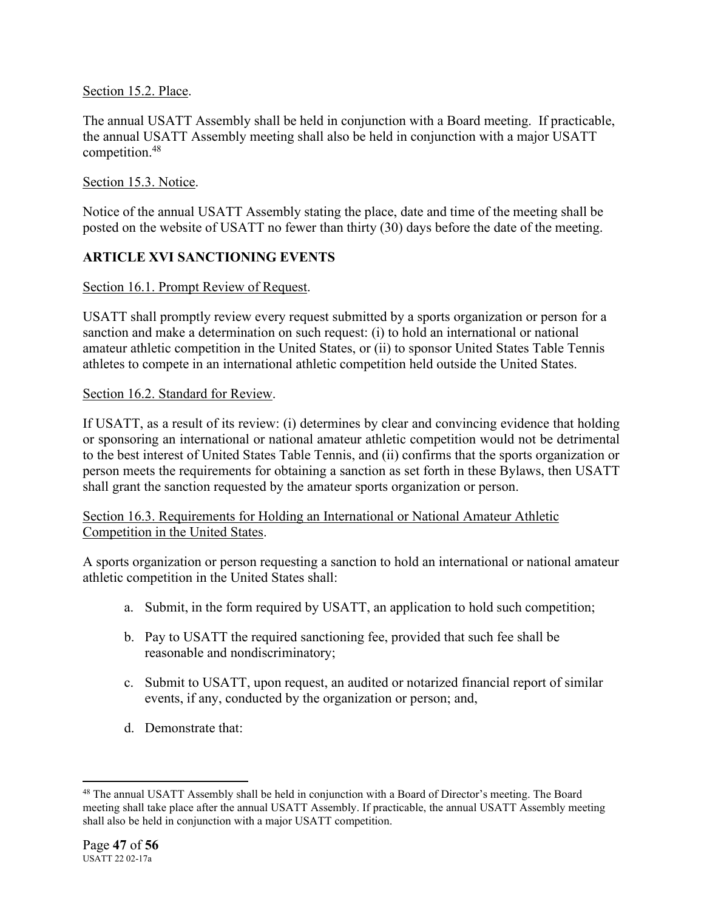# Section 15.2. Place.

The annual USATT Assembly shall be held in conjunction with a Board meeting. If practicable, the annual USATT Assembly meeting shall also be held in conjunction with a major USATT competition.48

# Section 15.3. Notice.

Notice of the annual USATT Assembly stating the place, date and time of the meeting shall be posted on the website of USATT no fewer than thirty (30) days before the date of the meeting.

# **ARTICLE XVI SANCTIONING EVENTS**

# Section 16.1. Prompt Review of Request.

USATT shall promptly review every request submitted by a sports organization or person for a sanction and make a determination on such request: (i) to hold an international or national amateur athletic competition in the United States, or (ii) to sponsor United States Table Tennis athletes to compete in an international athletic competition held outside the United States.

# Section 16.2. Standard for Review.

If USATT, as a result of its review: (i) determines by clear and convincing evidence that holding or sponsoring an international or national amateur athletic competition would not be detrimental to the best interest of United States Table Tennis, and (ii) confirms that the sports organization or person meets the requirements for obtaining a sanction as set forth in these Bylaws, then USATT shall grant the sanction requested by the amateur sports organization or person.

# Section 16.3. Requirements for Holding an International or National Amateur Athletic Competition in the United States.

A sports organization or person requesting a sanction to hold an international or national amateur athletic competition in the United States shall:

- a. Submit, in the form required by USATT, an application to hold such competition;
- b. Pay to USATT the required sanctioning fee, provided that such fee shall be reasonable and nondiscriminatory;
- c. Submit to USATT, upon request, an audited or notarized financial report of similar events, if any, conducted by the organization or person; and,
- d. Demonstrate that:

<sup>48</sup> The annual USATT Assembly shall be held in conjunction with a Board of Director's meeting. The Board meeting shall take place after the annual USATT Assembly. If practicable, the annual USATT Assembly meeting shall also be held in conjunction with a major USATT competition.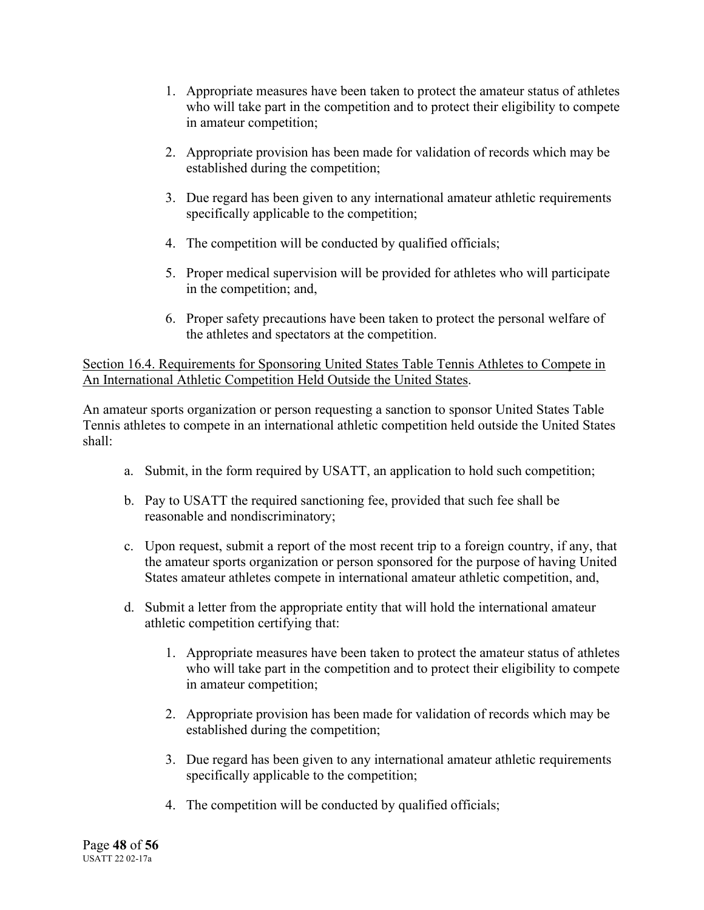- 1. Appropriate measures have been taken to protect the amateur status of athletes who will take part in the competition and to protect their eligibility to compete in amateur competition;
- 2. Appropriate provision has been made for validation of records which may be established during the competition;
- 3. Due regard has been given to any international amateur athletic requirements specifically applicable to the competition;
- 4. The competition will be conducted by qualified officials;
- 5. Proper medical supervision will be provided for athletes who will participate in the competition; and,
- 6. Proper safety precautions have been taken to protect the personal welfare of the athletes and spectators at the competition.

Section 16.4. Requirements for Sponsoring United States Table Tennis Athletes to Compete in An International Athletic Competition Held Outside the United States.

An amateur sports organization or person requesting a sanction to sponsor United States Table Tennis athletes to compete in an international athletic competition held outside the United States shall:

- a. Submit, in the form required by USATT, an application to hold such competition;
- b. Pay to USATT the required sanctioning fee, provided that such fee shall be reasonable and nondiscriminatory;
- c. Upon request, submit a report of the most recent trip to a foreign country, if any, that the amateur sports organization or person sponsored for the purpose of having United States amateur athletes compete in international amateur athletic competition, and,
- d. Submit a letter from the appropriate entity that will hold the international amateur athletic competition certifying that:
	- 1. Appropriate measures have been taken to protect the amateur status of athletes who will take part in the competition and to protect their eligibility to compete in amateur competition;
	- 2. Appropriate provision has been made for validation of records which may be established during the competition;
	- 3. Due regard has been given to any international amateur athletic requirements specifically applicable to the competition;
	- 4. The competition will be conducted by qualified officials;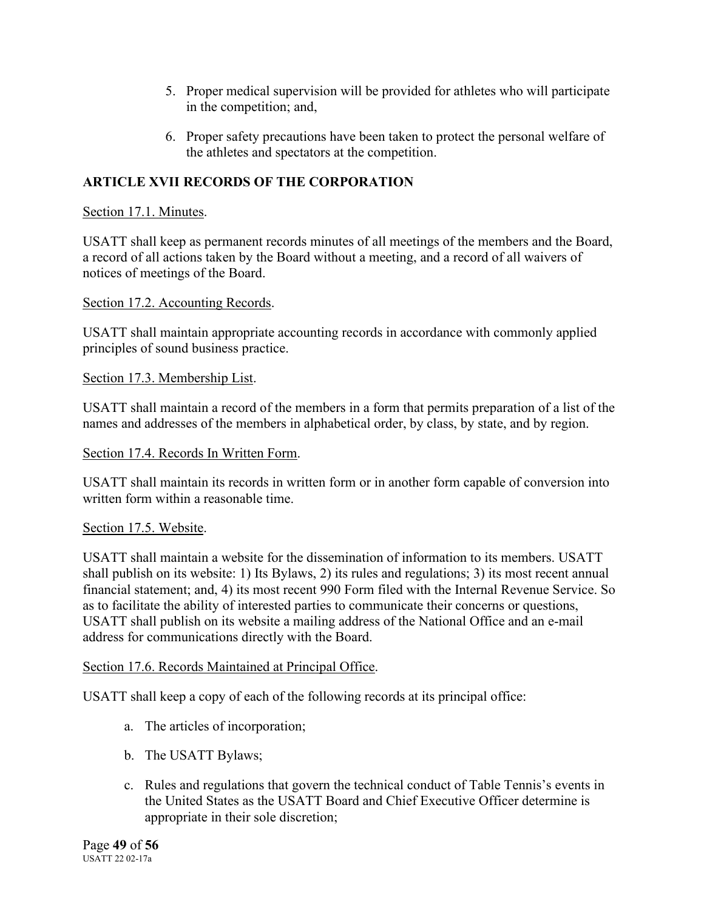- 5. Proper medical supervision will be provided for athletes who will participate in the competition; and,
- 6. Proper safety precautions have been taken to protect the personal welfare of the athletes and spectators at the competition.

# **ARTICLE XVII RECORDS OF THE CORPORATION**

# Section 17.1. Minutes.

USATT shall keep as permanent records minutes of all meetings of the members and the Board, a record of all actions taken by the Board without a meeting, and a record of all waivers of notices of meetings of the Board.

# Section 17.2. Accounting Records.

USATT shall maintain appropriate accounting records in accordance with commonly applied principles of sound business practice.

# Section 17.3. Membership List.

USATT shall maintain a record of the members in a form that permits preparation of a list of the names and addresses of the members in alphabetical order, by class, by state, and by region.

# Section 17.4. Records In Written Form.

USATT shall maintain its records in written form or in another form capable of conversion into written form within a reasonable time.

# Section 17.5. Website.

USATT shall maintain a website for the dissemination of information to its members. USATT shall publish on its website: 1) Its Bylaws, 2) its rules and regulations; 3) its most recent annual financial statement; and, 4) its most recent 990 Form filed with the Internal Revenue Service. So as to facilitate the ability of interested parties to communicate their concerns or questions, USATT shall publish on its website a mailing address of the National Office and an e-mail address for communications directly with the Board.

# Section 17.6. Records Maintained at Principal Office.

USATT shall keep a copy of each of the following records at its principal office:

- a. The articles of incorporation;
- b. The USATT Bylaws;
- c. Rules and regulations that govern the technical conduct of Table Tennis's events in the United States as the USATT Board and Chief Executive Officer determine is appropriate in their sole discretion;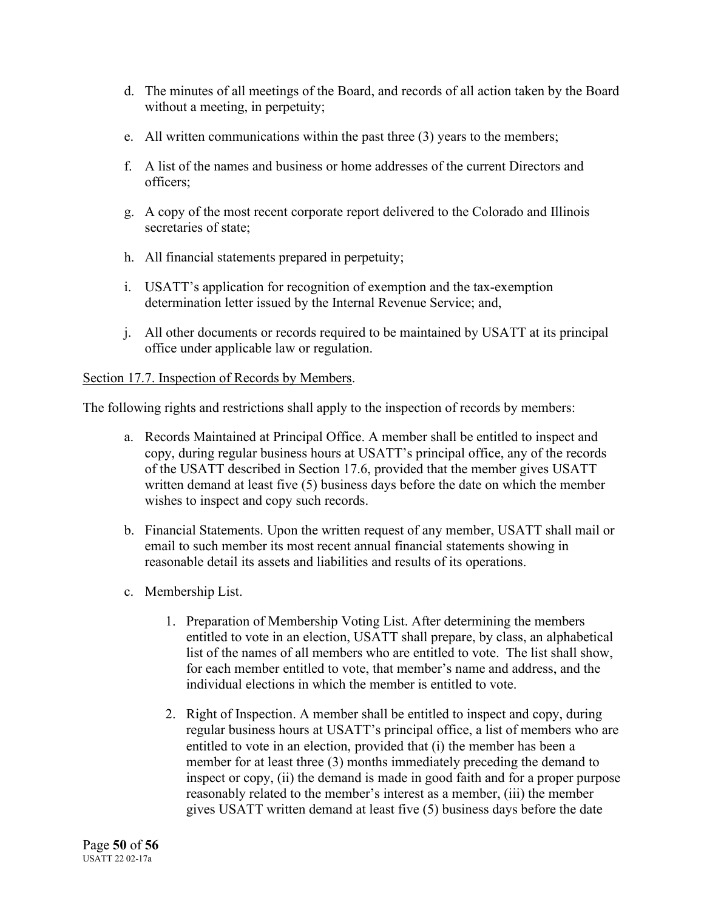- d. The minutes of all meetings of the Board, and records of all action taken by the Board without a meeting, in perpetuity;
- e. All written communications within the past three (3) years to the members;
- f. A list of the names and business or home addresses of the current Directors and officers;
- g. A copy of the most recent corporate report delivered to the Colorado and Illinois secretaries of state;
- h. All financial statements prepared in perpetuity;
- i. USATT's application for recognition of exemption and the tax-exemption determination letter issued by the Internal Revenue Service; and,
- j. All other documents or records required to be maintained by USATT at its principal office under applicable law or regulation.

# Section 17.7. Inspection of Records by Members.

The following rights and restrictions shall apply to the inspection of records by members:

- a. Records Maintained at Principal Office. A member shall be entitled to inspect and copy, during regular business hours at USATT's principal office, any of the records of the USATT described in Section 17.6, provided that the member gives USATT written demand at least five (5) business days before the date on which the member wishes to inspect and copy such records.
- b. Financial Statements. Upon the written request of any member, USATT shall mail or email to such member its most recent annual financial statements showing in reasonable detail its assets and liabilities and results of its operations.
- c. Membership List.
	- 1. Preparation of Membership Voting List. After determining the members entitled to vote in an election, USATT shall prepare, by class, an alphabetical list of the names of all members who are entitled to vote. The list shall show, for each member entitled to vote, that member's name and address, and the individual elections in which the member is entitled to vote.
	- 2. Right of Inspection. A member shall be entitled to inspect and copy, during regular business hours at USATT's principal office, a list of members who are entitled to vote in an election, provided that (i) the member has been a member for at least three (3) months immediately preceding the demand to inspect or copy, (ii) the demand is made in good faith and for a proper purpose reasonably related to the member's interest as a member, (iii) the member gives USATT written demand at least five (5) business days before the date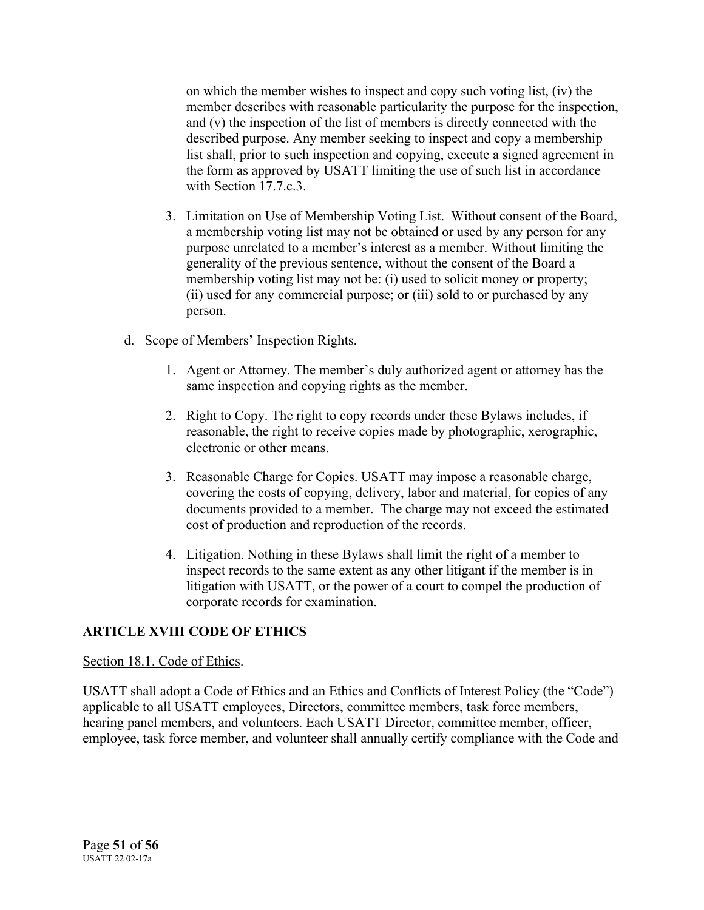on which the member wishes to inspect and copy such voting list, (iv) the member describes with reasonable particularity the purpose for the inspection, and (v) the inspection of the list of members is directly connected with the described purpose. Any member seeking to inspect and copy a membership list shall, prior to such inspection and copying, execute a signed agreement in the form as approved by USATT limiting the use of such list in accordance with Section 17.7.c.3.

- 3. Limitation on Use of Membership Voting List. Without consent of the Board, a membership voting list may not be obtained or used by any person for any purpose unrelated to a member's interest as a member. Without limiting the generality of the previous sentence, without the consent of the Board a membership voting list may not be: (i) used to solicit money or property; (ii) used for any commercial purpose; or (iii) sold to or purchased by any person.
- d. Scope of Members' Inspection Rights.
	- 1. Agent or Attorney. The member's duly authorized agent or attorney has the same inspection and copying rights as the member.
	- 2. Right to Copy. The right to copy records under these Bylaws includes, if reasonable, the right to receive copies made by photographic, xerographic, electronic or other means.
	- 3. Reasonable Charge for Copies. USATT may impose a reasonable charge, covering the costs of copying, delivery, labor and material, for copies of any documents provided to a member. The charge may not exceed the estimated cost of production and reproduction of the records.
	- 4. Litigation. Nothing in these Bylaws shall limit the right of a member to inspect records to the same extent as any other litigant if the member is in litigation with USATT, or the power of a court to compel the production of corporate records for examination.

# **ARTICLE XVIII CODE OF ETHICS**

# Section 18.1. Code of Ethics.

USATT shall adopt a Code of Ethics and an Ethics and Conflicts of Interest Policy (the "Code") applicable to all USATT employees, Directors, committee members, task force members, hearing panel members, and volunteers. Each USATT Director, committee member, officer, employee, task force member, and volunteer shall annually certify compliance with the Code and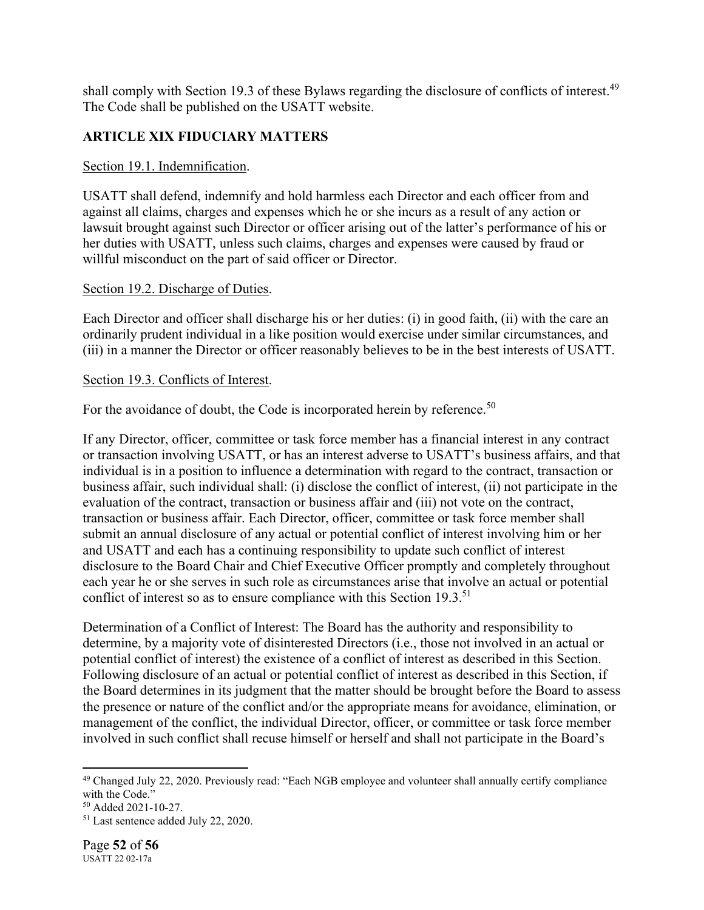shall comply with Section 19.3 of these Bylaws regarding the disclosure of conflicts of interest.<sup>49</sup> The Code shall be published on the USATT website.

# **ARTICLE XIX FIDUCIARY MATTERS**

### Section 19.1. Indemnification.

USATT shall defend, indemnify and hold harmless each Director and each officer from and against all claims, charges and expenses which he or she incurs as a result of any action or lawsuit brought against such Director or officer arising out of the latter's performance of his or her duties with USATT, unless such claims, charges and expenses were caused by fraud or willful misconduct on the part of said officer or Director.

### Section 19.2. Discharge of Duties.

Each Director and officer shall discharge his or her duties: (i) in good faith, (ii) with the care an ordinarily prudent individual in a like position would exercise under similar circumstances, and (iii) in a manner the Director or officer reasonably believes to be in the best interests of USATT.

#### Section 19.3. Conflicts of Interest.

For the avoidance of doubt, the Code is incorporated herein by reference.<sup>50</sup>

If any Director, officer, committee or task force member has a financial interest in any contract or transaction involving USATT, or has an interest adverse to USATT's business affairs, and that individual is in a position to influence a determination with regard to the contract, transaction or business affair, such individual shall: (i) disclose the conflict of interest, (ii) not participate in the evaluation of the contract, transaction or business affair and (iii) not vote on the contract, transaction or business affair. Each Director, officer, committee or task force member shall submit an annual disclosure of any actual or potential conflict of interest involving him or her and USATT and each has a continuing responsibility to update such conflict of interest disclosure to the Board Chair and Chief Executive Officer promptly and completely throughout each year he or she serves in such role as circumstances arise that involve an actual or potential conflict of interest so as to ensure compliance with this Section 19.3.<sup>51</sup>

Determination of a Conflict of Interest: The Board has the authority and responsibility to determine, by a majority vote of disinterested Directors (i.e., those not involved in an actual or potential conflict of interest) the existence of a conflict of interest as described in this Section. Following disclosure of an actual or potential conflict of interest as described in this Section, if the Board determines in its judgment that the matter should be brought before the Board to assess the presence or nature of the conflict and/or the appropriate means for avoidance, elimination, or management of the conflict, the individual Director, officer, or committee or task force member involved in such conflict shall recuse himself or herself and shall not participate in the Board's

<sup>&</sup>lt;sup>49</sup> Changed July 22, 2020. Previously read: "Each NGB employee and volunteer shall annually certify compliance with the Code."

<sup>50</sup> Added 2021-10-27.

<sup>51</sup> Last sentence added July 22, 2020.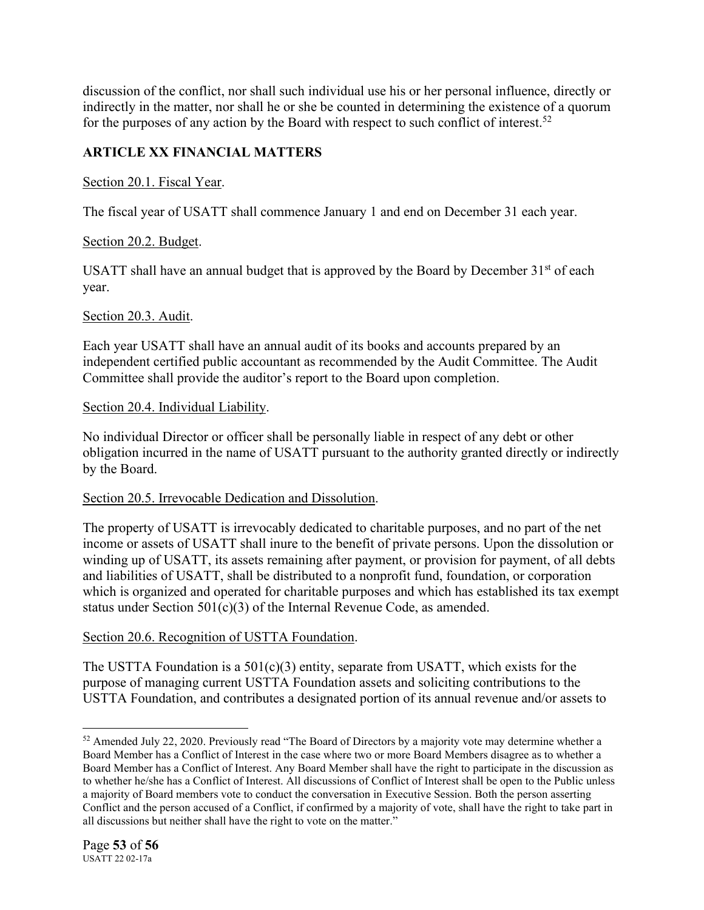discussion of the conflict, nor shall such individual use his or her personal influence, directly or indirectly in the matter, nor shall he or she be counted in determining the existence of a quorum for the purposes of any action by the Board with respect to such conflict of interest.<sup>52</sup>

# **ARTICLE XX FINANCIAL MATTERS**

# Section 20.1. Fiscal Year.

The fiscal year of USATT shall commence January 1 and end on December 31 each year.

# Section 20.2. Budget.

USATT shall have an annual budget that is approved by the Board by December  $31<sup>st</sup>$  of each year.

# Section 20.3. Audit.

Each year USATT shall have an annual audit of its books and accounts prepared by an independent certified public accountant as recommended by the Audit Committee. The Audit Committee shall provide the auditor's report to the Board upon completion.

# Section 20.4. Individual Liability.

No individual Director or officer shall be personally liable in respect of any debt or other obligation incurred in the name of USATT pursuant to the authority granted directly or indirectly by the Board.

# Section 20.5. Irrevocable Dedication and Dissolution.

The property of USATT is irrevocably dedicated to charitable purposes, and no part of the net income or assets of USATT shall inure to the benefit of private persons. Upon the dissolution or winding up of USATT, its assets remaining after payment, or provision for payment, of all debts and liabilities of USATT, shall be distributed to a nonprofit fund, foundation, or corporation which is organized and operated for charitable purposes and which has established its tax exempt status under Section 501(c)(3) of the Internal Revenue Code, as amended.

# Section 20.6. Recognition of USTTA Foundation.

The USTTA Foundation is a  $501(c)(3)$  entity, separate from USATT, which exists for the purpose of managing current USTTA Foundation assets and soliciting contributions to the USTTA Foundation, and contributes a designated portion of its annual revenue and/or assets to

<sup>&</sup>lt;sup>52</sup> Amended July 22, 2020. Previously read "The Board of Directors by a majority vote may determine whether a Board Member has a Conflict of Interest in the case where two or more Board Members disagree as to whether a Board Member has a Conflict of Interest. Any Board Member shall have the right to participate in the discussion as to whether he/she has a Conflict of Interest. All discussions of Conflict of Interest shall be open to the Public unless a majority of Board members vote to conduct the conversation in Executive Session. Both the person asserting Conflict and the person accused of a Conflict, if confirmed by a majority of vote, shall have the right to take part in all discussions but neither shall have the right to vote on the matter."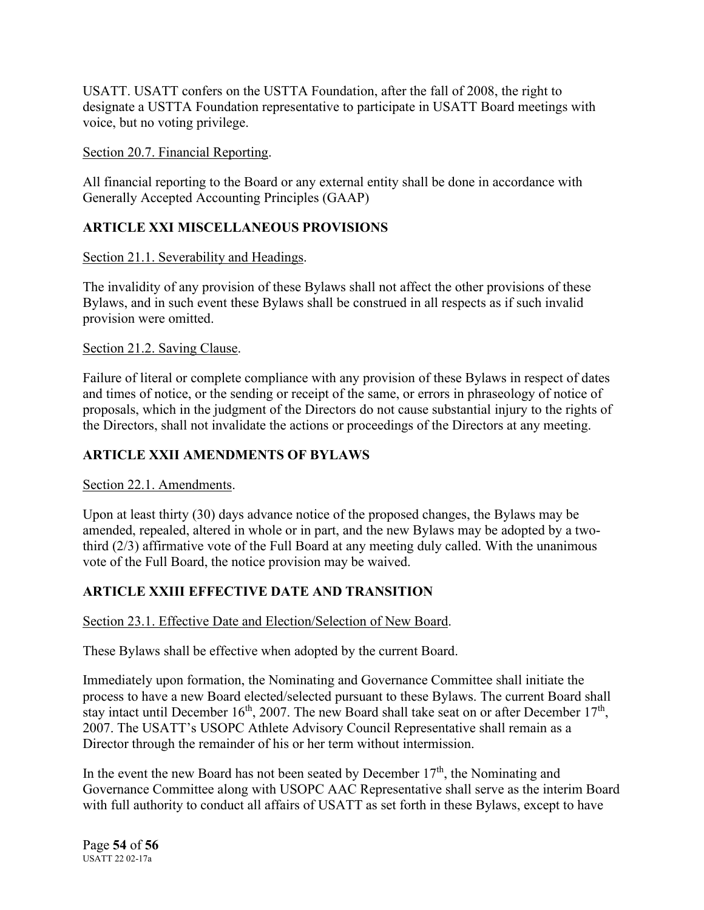USATT. USATT confers on the USTTA Foundation, after the fall of 2008, the right to designate a USTTA Foundation representative to participate in USATT Board meetings with voice, but no voting privilege.

### Section 20.7. Financial Reporting.

All financial reporting to the Board or any external entity shall be done in accordance with Generally Accepted Accounting Principles (GAAP)

# **ARTICLE XXI MISCELLANEOUS PROVISIONS**

### Section 21.1. Severability and Headings.

The invalidity of any provision of these Bylaws shall not affect the other provisions of these Bylaws, and in such event these Bylaws shall be construed in all respects as if such invalid provision were omitted.

### Section 21.2. Saving Clause.

Failure of literal or complete compliance with any provision of these Bylaws in respect of dates and times of notice, or the sending or receipt of the same, or errors in phraseology of notice of proposals, which in the judgment of the Directors do not cause substantial injury to the rights of the Directors, shall not invalidate the actions or proceedings of the Directors at any meeting.

# **ARTICLE XXII AMENDMENTS OF BYLAWS**

# Section 22.1. Amendments.

Upon at least thirty (30) days advance notice of the proposed changes, the Bylaws may be amended, repealed, altered in whole or in part, and the new Bylaws may be adopted by a twothird (2/3) affirmative vote of the Full Board at any meeting duly called. With the unanimous vote of the Full Board, the notice provision may be waived.

# **ARTICLE XXIII EFFECTIVE DATE AND TRANSITION**

# Section 23.1. Effective Date and Election/Selection of New Board.

These Bylaws shall be effective when adopted by the current Board.

Immediately upon formation, the Nominating and Governance Committee shall initiate the process to have a new Board elected/selected pursuant to these Bylaws. The current Board shall stay intact until December 16<sup>th</sup>, 2007. The new Board shall take seat on or after December 17<sup>th</sup>, 2007. The USATT's USOPC Athlete Advisory Council Representative shall remain as a Director through the remainder of his or her term without intermission.

In the event the new Board has not been seated by December  $17<sup>th</sup>$ , the Nominating and Governance Committee along with USOPC AAC Representative shall serve as the interim Board with full authority to conduct all affairs of USATT as set forth in these Bylaws, except to have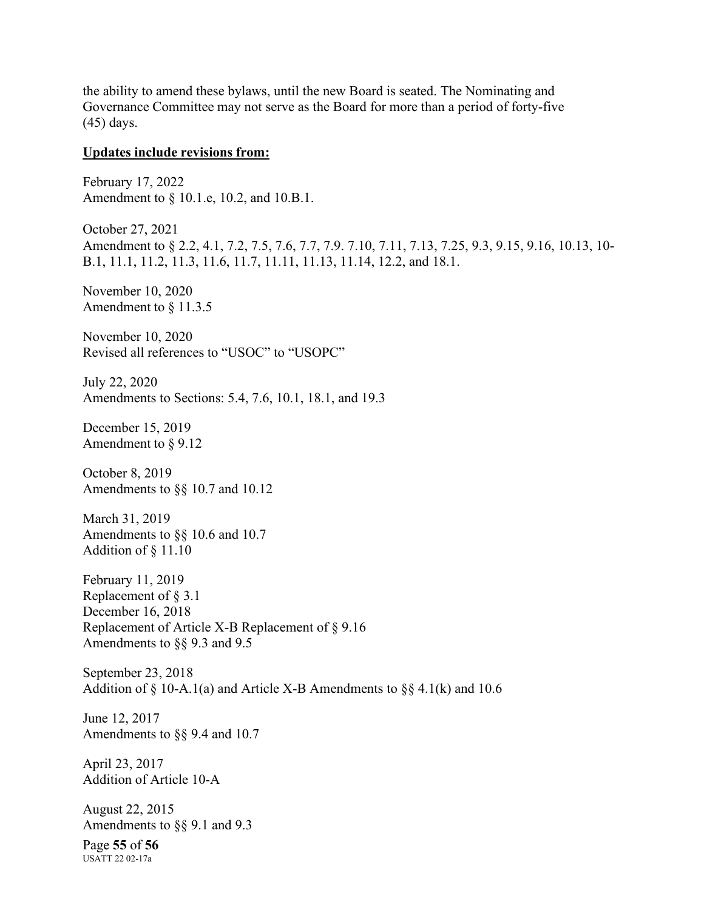the ability to amend these bylaws, until the new Board is seated. The Nominating and Governance Committee may not serve as the Board for more than a period of forty-five (45) days.

#### **Updates include revisions from:**

February 17, 2022 Amendment to § 10.1.e, 10.2, and 10.B.1.

October 27, 2021 Amendment to § 2.2, 4.1, 7.2, 7.5, 7.6, 7.7, 7.9. 7.10, 7.11, 7.13, 7.25, 9.3, 9.15, 9.16, 10.13, 10- B.1, 11.1, 11.2, 11.3, 11.6, 11.7, 11.11, 11.13, 11.14, 12.2, and 18.1.

November 10, 2020 Amendment to § 11.3.5

November 10, 2020 Revised all references to "USOC" to "USOPC"

July 22, 2020 Amendments to Sections: 5.4, 7.6, 10.1, 18.1, and 19.3

December 15, 2019 Amendment to § 9.12

October 8, 2019 Amendments to §§ 10.7 and 10.12

March 31, 2019 Amendments to §§ 10.6 and 10.7 Addition of § 11.10

February 11, 2019 Replacement of § 3.1 December 16, 2018 Replacement of Article X-B Replacement of § 9.16 Amendments to §§ 9.3 and 9.5

September 23, 2018 Addition of  $\S$  10-A.1(a) and Article X-B Amendments to  $\S$ § 4.1(k) and 10.6

June 12, 2017 Amendments to §§ 9.4 and 10.7

April 23, 2017 Addition of Article 10-A

August 22, 2015 Amendments to §§ 9.1 and 9.3

Page **55** of **56** USATT 22 02-17a